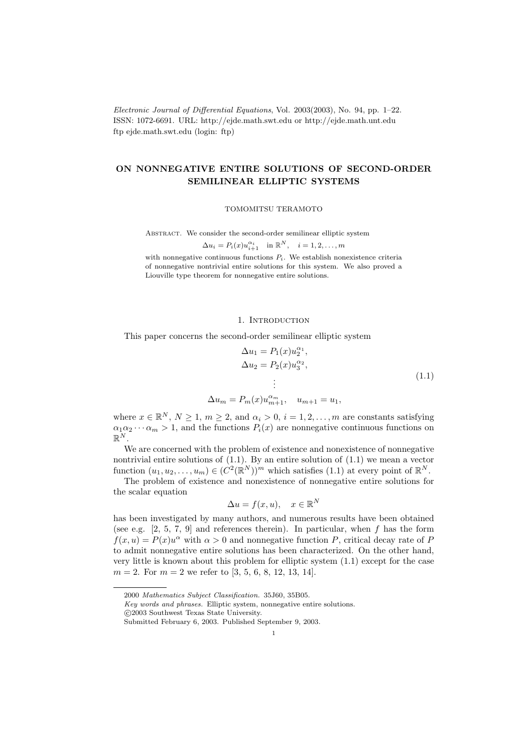Electronic Journal of Differential Equations, Vol. 2003(2003), No. 94, pp. 1–22. ISSN: 1072-6691. URL: http://ejde.math.swt.edu or http://ejde.math.unt.edu ftp ejde.math.swt.edu (login: ftp)

## ON NONNEGATIVE ENTIRE SOLUTIONS OF SECOND-ORDER SEMILINEAR ELLIPTIC SYSTEMS

TOMOMITSU TERAMOTO

Abstract. We consider the second-order semilinear elliptic system

$$
\Delta u_i = P_i(x)u_{i+1}^{\alpha_i} \text{ in } \mathbb{R}^N, \quad i = 1, 2, \dots, m
$$

with nonnegative continuous functions  $P_i$ . We establish nonexistence criteria of nonnegative nontrivial entire solutions for this system. We also proved a Liouville type theorem for nonnegative entire solutions.

## 1. INTRODUCTION

This paper concerns the second-order semilinear elliptic system

$$
\Delta u_1 = P_1(x) u_2^{\alpha_1},
$$
  
\n
$$
\Delta u_2 = P_2(x) u_3^{\alpha_2},
$$
  
\n
$$
\vdots
$$
  
\n
$$
m = P_m(x) u_{m+1}^{\alpha_m}, \quad u_{m+1} = u_1,
$$
\n(1.1)

where  $x \in \mathbb{R}^N$ ,  $N \ge 1$ ,  $m \ge 2$ , and  $\alpha_i > 0$ ,  $i = 1, 2, ..., m$  are constants satisfying  $\alpha_1 \alpha_2 \cdots \alpha_m > 1$ , and the functions  $P_i(x)$  are nonnegative continuous functions on  $\mathbb{R}^N$ .

We are concerned with the problem of existence and nonexistence of nonnegative nontrivial entire solutions of (1.1). By an entire solution of (1.1) we mean a vector function  $(u_1, u_2, \ldots, u_m) \in (C^2(\mathbb{R}^N))^m$  which satisfies  $(1.1)$  at every point of  $\mathbb{R}^N$ .

The problem of existence and nonexistence of nonnegative entire solutions for the scalar equation

$$
\Delta u = f(x, u), \quad x \in \mathbb{R}^N
$$

has been investigated by many authors, and numerous results have been obtained (see e.g.  $[2, 5, 7, 9]$  and references therein). In particular, when f has the form  $f(x, u) = P(x)u^{\alpha}$  with  $\alpha > 0$  and nonnegative function P, critical decay rate of F to admit nonnegative entire solutions has been characterized. On the other hand, very little is known about this problem for elliptic system (1.1) except for the case  $m = 2$ . For  $m = 2$  we refer to [3, 5, 6, 8, 12, 13, 14].

 $\Delta u$ 

<sup>2000</sup> Mathematics Subject Classification. 35J60, 35B05.

Key words and phrases. Elliptic system, nonnegative entire solutions.

c 2003 Southwest Texas State University.

Submitted February 6, 2003. Published September 9, 2003.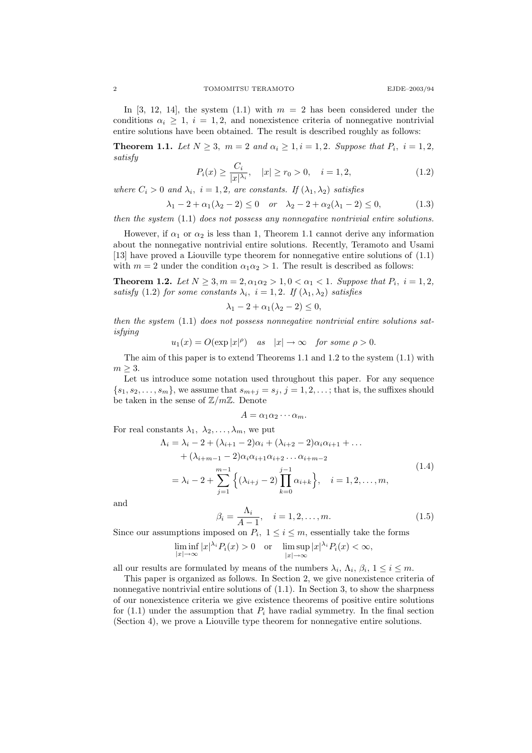In [3, 12, 14], the system  $(1.1)$  with  $m = 2$  has been considered under the conditions  $\alpha_i \geq 1$ ,  $i = 1, 2$ , and nonexistence criteria of nonnegative nontrivial entire solutions have been obtained. The result is described roughly as follows:

**Theorem 1.1.** Let  $N \geq 3$ ,  $m = 2$  and  $\alpha_i \geq 1$ ,  $i = 1, 2$ . Suppose that  $P_i$ ,  $i = 1, 2$ , satisfy

$$
P_i(x) \ge \frac{C_i}{|x|^{\lambda_i}}, \quad |x| \ge r_0 > 0, \quad i = 1, 2,
$$
\n(1.2)

where  $C_i > 0$  and  $\lambda_i$ ,  $i = 1, 2$ , are constants. If  $(\lambda_1, \lambda_2)$  satisfies

$$
\lambda_1 - 2 + \alpha_1(\lambda_2 - 2) \le 0 \quad or \quad \lambda_2 - 2 + \alpha_2(\lambda_1 - 2) \le 0,
$$
 (1.3)

then the system  $(1.1)$  does not possess any nonnegative nontrivial entire solutions.

However, if  $\alpha_1$  or  $\alpha_2$  is less than 1, Theorem 1.1 cannot derive any information about the nonnegative nontrivial entire solutions. Recently, Teramoto and Usami [13] have proved a Liouville type theorem for nonnegative entire solutions of (1.1) with  $m = 2$  under the condition  $\alpha_1 \alpha_2 > 1$ . The result is described as follows:

**Theorem 1.2.** Let  $N \ge 3, m = 2, \alpha_1 \alpha_2 > 1, 0 < \alpha_1 < 1$ . Suppose that  $P_i$ ,  $i = 1, 2$ , satisfy (1.2) for some constants  $\lambda_i$ ,  $i = 1, 2$ . If  $(\lambda_1, \lambda_2)$  satisfies

$$
\lambda_1 - 2 + \alpha_1(\lambda_2 - 2) \le 0,
$$

then the system  $(1.1)$  does not possess nonnegative nontrivial entire solutions satisfying

$$
u_1(x) = O(\exp |x|^{\rho})
$$
 as  $|x| \to \infty$  for some  $\rho > 0$ .

The aim of this paper is to extend Theorems 1.1 and 1.2 to the system (1.1) with  $m \geq 3$ .

Let us introduce some notation used throughout this paper. For any sequence  $\{s_1, s_2, \ldots, s_m\}$ , we assume that  $s_{m+j} = s_j$ ,  $j = 1, 2, \ldots$ ; that is, the suffixes should be taken in the sense of  $\mathbb{Z}/m\mathbb{Z}$ . Denote

$$
A = \alpha_1 \alpha_2 \cdots \alpha_m.
$$

For real constants  $\lambda_1, \lambda_2, \ldots, \lambda_m$ , we put

$$
\Lambda_{i} = \lambda_{i} - 2 + (\lambda_{i+1} - 2)\alpha_{i} + (\lambda_{i+2} - 2)\alpha_{i}\alpha_{i+1} + \dots
$$
  
+  $(\lambda_{i+m-1} - 2)\alpha_{i}\alpha_{i+1}\alpha_{i+2}\dots\alpha_{i+m-2}$   
=  $\lambda_{i} - 2 + \sum_{j=1}^{m-1} \left\{ (\lambda_{i+j} - 2) \prod_{k=0}^{j-1} \alpha_{i+k} \right\}, \quad i = 1, 2, \dots, m,$  (1.4)

and

$$
\beta_i = \frac{\Lambda_i}{A - 1}, \quad i = 1, 2, \dots, m. \tag{1.5}
$$

Since our assumptions imposed on  $P_i$ ,  $1 \leq i \leq m$ , essentially take the forms

$$
\liminf_{|x| \to \infty} |x|^{\lambda_i} P_i(x) > 0 \quad \text{or} \quad \limsup_{|x| \to \infty} |x|^{\lambda_i} P_i(x) < \infty,
$$

all our results are formulated by means of the numbers  $\lambda_i$ ,  $\Lambda_i$ ,  $\beta_i$ ,  $1 \le i \le m$ .

This paper is organized as follows. In Section 2, we give nonexistence criteria of nonnegative nontrivial entire solutions of (1.1). In Section 3, to show the sharpness of our nonexistence criteria we give existence theorems of positive entire solutions for  $(1.1)$  under the assumption that  $P_i$  have radial symmetry. In the final section (Section 4), we prove a Liouville type theorem for nonnegative entire solutions.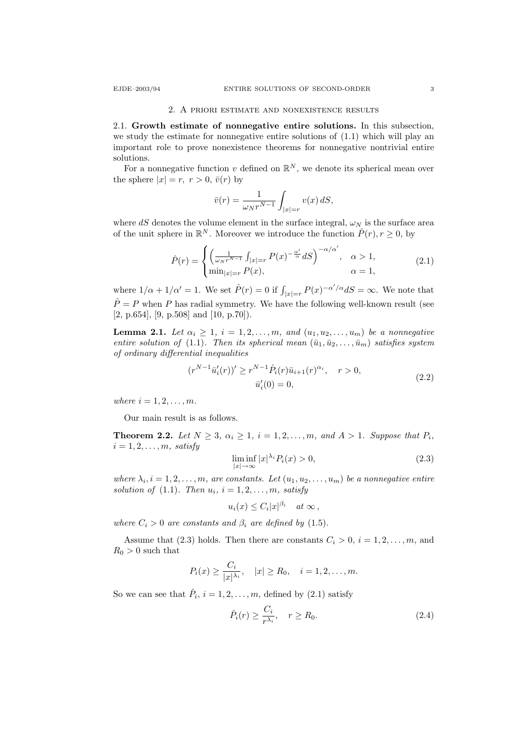#### 2. A priori estimate and nonexistence results

2.1. Growth estimate of nonnegative entire solutions. In this subsection, we study the estimate for nonnegative entire solutions of (1.1) which will play an important role to prove nonexistence theorems for nonnegative nontrivial entire solutions.

For a nonnegative function v defined on  $\mathbb{R}^N$ , we denote its spherical mean over the sphere  $|x| = r$ ,  $r > 0$ ,  $\bar{v}(r)$  by

$$
\bar{v}(r)=\frac{1}{\omega_Nr^{N-1}}\int_{|x|=r}v(x)\,dS,
$$

where dS denotes the volume element in the surface integral,  $\omega_N$  is the surface area of the unit sphere in  $\mathbb{R}^N$ . Moreover we introduce the function  $\hat{P}(r)$ ,  $r \geq 0$ , by

$$
\hat{P}(r) = \begin{cases} \left(\frac{1}{\omega_N r^{N-1}} \int_{|x|=r} P(x)^{-\frac{\alpha'}{\alpha}} dS\right)^{-\alpha/\alpha'}, & \alpha > 1, \\ \min_{|x|=r} P(x), & \alpha = 1, \end{cases}
$$
\n(2.1)

where  $1/\alpha + 1/\alpha' = 1$ . We set  $\hat{P}(r) = 0$  if  $\int_{|x|=r} P(x)^{-\alpha'/\alpha} dS = \infty$ . We note that  $\hat{P} = P$  when P has radial symmetry. We have the following well-known result (see [2, p.654], [9, p.508] and [10, p.70]).

**Lemma 2.1.** Let  $\alpha_i \geq 1$ ,  $i = 1, 2, \ldots, m$ , and  $(u_1, u_2, \ldots, u_m)$  be a nonnegative entire solution of (1.1). Then its spherical mean  $(\bar{u}_1, \bar{u}_2, \ldots, \bar{u}_m)$  satisfies system of ordinary differential inequalities

$$
(r^{N-1}\bar{u}'_i(r))' \ge r^{N-1}\hat{P}_i(r)\bar{u}_{i+1}(r)^{\alpha_i}, \quad r > 0,
$$
  

$$
\bar{u}'_i(0) = 0,
$$
 (2.2)

where  $i = 1, 2, \ldots, m$ .

Our main result is as follows.

**Theorem 2.2.** Let  $N \geq 3$ ,  $\alpha_i \geq 1$ ,  $i = 1, 2, \ldots, m$ , and  $A > 1$ . Suppose that  $P_i$ ,  $i = 1, 2, \ldots, m$ , satisfy

$$
\liminf_{|x| \to \infty} |x|^{\lambda_i} P_i(x) > 0,
$$
\n(2.3)

where  $\lambda_i, i = 1, 2, \ldots, m$ , are constants. Let  $(u_1, u_2, \ldots, u_m)$  be a nonnegative entire solution of (1.1). Then  $u_i$ ,  $i = 1, 2, \ldots, m$ , satisfy

$$
u_i(x) \leq C_i |x|^{\beta_i} \quad at \infty ,
$$

where  $C_i > 0$  are constants and  $\beta_i$  are defined by (1.5).

Assume that (2.3) holds. Then there are constants  $C_i > 0$ ,  $i = 1, 2, ..., m$ , and  $R_0 > 0$  such that

$$
P_i(x) \ge \frac{C_i}{|x|^{\lambda_i}}, \quad |x| \ge R_0, \quad i = 1, 2, \dots, m.
$$

So we can see that  $\hat{P}_i$ ,  $i = 1, 2, ..., m$ , defined by (2.1) satisfy

$$
\hat{P}_i(r) \ge \frac{C_i}{r^{\lambda_i}}, \quad r \ge R_0.
$$
\n(2.4)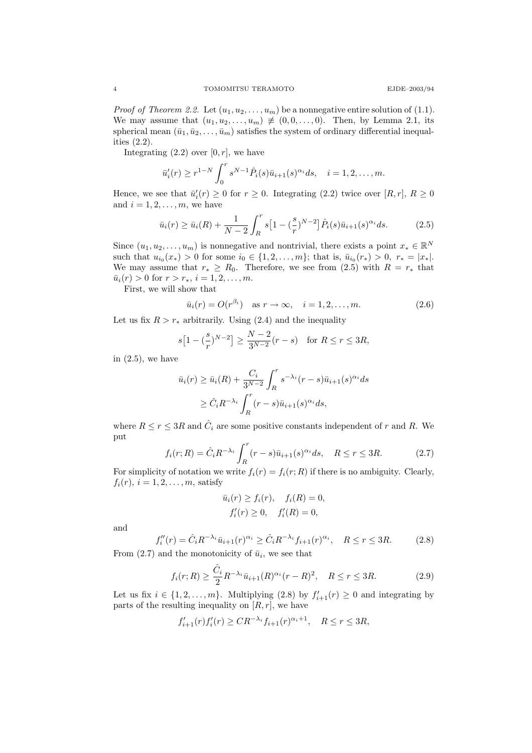*Proof of Theorem 2.2.* Let  $(u_1, u_2, \ldots, u_m)$  be a nonnegative entire solution of (1.1). We may assume that  $(u_1, u_2, \ldots, u_m) \neq (0, 0, \ldots, 0)$ . Then, by Lemma 2.1, its spherical mean  $(\bar{u}_1, \bar{u}_2, \dots, \bar{u}_m)$  satisfies the system of ordinary differential inequalities (2.2).

Integrating  $(2.2)$  over  $[0, r]$ , we have

$$
\bar{u}'_i(r) \ge r^{1-N} \int_0^r s^{N-1} \hat{P}_i(s) \bar{u}_{i+1}(s)^{\alpha_i} ds, \quad i = 1, 2, ..., m.
$$

Hence, we see that  $\bar{u}'_i(r) \geq 0$  for  $r \geq 0$ . Integrating (2.2) twice over  $[R, r]$ ,  $R \geq 0$ and  $i = 1, 2, \ldots, m$ , we have

$$
\bar{u}_i(r) \ge \bar{u}_i(R) + \frac{1}{N-2} \int_R^r s \left[ 1 - \left(\frac{s}{r}\right)^{N-2} \right] \hat{P}_i(s) \bar{u}_{i+1}(s)^{\alpha_i} ds. \tag{2.5}
$$

Since  $(u_1, u_2, \ldots, u_m)$  is nonnegative and nontrivial, there exists a point  $x_* \in \mathbb{R}^N$ such that  $u_{i_0}(x_*) > 0$  for some  $i_0 \in \{1, 2, ..., m\}$ ; that is,  $\bar{u}_{i_0}(r_*) > 0$ ,  $r_* = |x_*|$ . We may assume that  $r_* \geq R_0$ . Therefore, we see from (2.5) with  $R = r_*$  that  $\bar{u}_i(r) > 0$  for  $r > r_*, i = 1, 2, ..., m$ .

First, we will show that

$$
\bar{u}_i(r) = O(r^{\beta_i}) \quad \text{as } r \to \infty, \quad i = 1, 2, \dots, m. \tag{2.6}
$$

Let us fix  $R > r_*$  arbitrarily. Using (2.4) and the inequality

$$
s[1 - (\frac{s}{r})^{N-2}] \ge \frac{N-2}{3^{N-2}}(r-s) \text{ for } R \le r \le 3R,
$$

in  $(2.5)$ , we have

$$
\bar{u}_i(r) \ge \bar{u}_i(R) + \frac{C_i}{3^{N-2}} \int_R^r s^{-\lambda_i} (r-s) \bar{u}_{i+1}(s)^{\alpha_i} ds
$$
  
 
$$
\ge \hat{C}_i R^{-\lambda_i} \int_R^r (r-s) \bar{u}_{i+1}(s)^{\alpha_i} ds,
$$

where  $R \le r \le 3R$  and  $\hat{C}_i$  are some positive constants independent of r and R. We put

$$
f_i(r;R) = \hat{C}_i R^{-\lambda_i} \int_R^r (r-s)\bar{u}_{i+1}(s)^{\alpha_i} ds, \quad R \le r \le 3R. \tag{2.7}
$$

For simplicity of notation we write  $f_i(r) = f_i(r; R)$  if there is no ambiguity. Clearly,  $f_i(r), i = 1, 2, \ldots, m$ , satisfy

$$
\bar{u}_i(r) \ge f_i(r), \quad f_i(R) = 0,
$$
  
\n $f'_i(r) \ge 0, \quad f'_i(R) = 0,$ 

and

$$
f_i''(r) = \hat{C}_i R^{-\lambda_i} \bar{u}_{i+1}(r)^{\alpha_i} \ge \hat{C}_i R^{-\lambda_i} f_{i+1}(r)^{\alpha_i}, \quad R \le r \le 3R.
$$
 (2.8)

From  $(2.7)$  and the monotonicity of  $\bar{u}_i$ , we see that

$$
f_i(r;R) \ge \frac{\hat{C}_i}{2} R^{-\lambda_i} \bar{u}_{i+1}(R)^{\alpha_i}(r-R)^2, \quad R \le r \le 3R. \tag{2.9}
$$

Let us fix  $i \in \{1, 2, ..., m\}$ . Multiplying (2.8) by  $f'_{i+1}(r) \geq 0$  and integrating by parts of the resulting inequality on  $[R, r]$ , we have

$$
f'_{i+1}(r)f'_{i}(r) \geq CR^{-\lambda_{i}}f_{i+1}(r)^{\alpha_{i}+1}, \quad R \leq r \leq 3R,
$$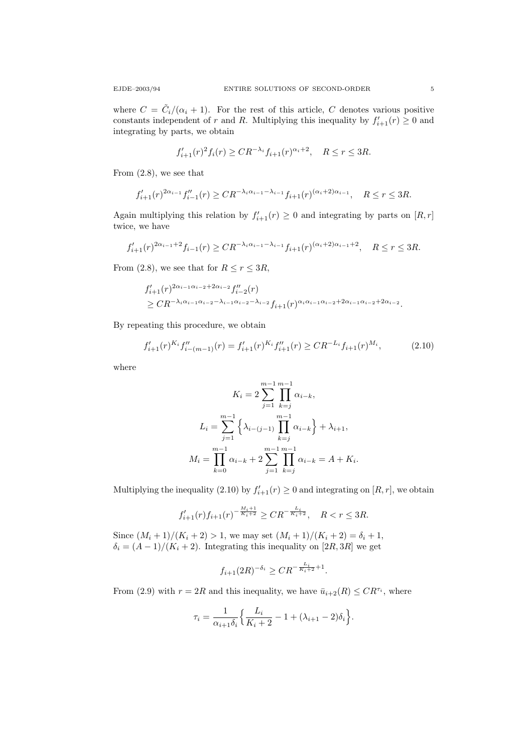where  $C = \tilde{C}_i/(\alpha_i + 1)$ . For the rest of this article, C denotes various positive constants independent of r and R. Multiplying this inequality by  $f'_{i+1}(r) \geq 0$  and integrating by parts, we obtain

$$
f'_{i+1}(r)^2 f_i(r) \geq C R^{-\lambda_i} f_{i+1}(r)^{\alpha_i+2}, \quad R \leq r \leq 3R.
$$

From (2.8), we see that

$$
f'_{i+1}(r)^{2\alpha_{i-1}}f''_{i-1}(r) \geq CR^{-\lambda_i\alpha_{i-1}-\lambda_{i-1}}f_{i+1}(r)^{(\alpha_i+2)\alpha_{i-1}}, \quad R \leq r \leq 3R.
$$

Again multiplying this relation by  $f'_{i+1}(r) \geq 0$  and integrating by parts on  $[R, r]$ twice, we have

$$
f'_{i+1}(r)^{2\alpha_{i-1}+2}f_{i-1}(r) \geq CR^{-\lambda_i\alpha_{i-1}-\lambda_{i-1}}f_{i+1}(r)^{(\alpha_i+2)\alpha_{i-1}+2}, \quad R \leq r \leq 3R.
$$

From (2.8), we see that for  $R \le r \le 3R$ ,

$$
f'_{i+1}(r)^{2\alpha_{i-1}\alpha_{i-2}+2\alpha_{i-2}}f''_{i-2}(r)
$$
  
\n
$$
\geq CR^{-\lambda_i\alpha_{i-1}\alpha_{i-2}-\lambda_{i-1}\alpha_{i-2}-\lambda_{i-2}}f_{i+1}(r)^{\alpha_i\alpha_{i-1}\alpha_{i-2}+2\alpha_{i-1}\alpha_{i-2}+2\alpha_{i-2}}.
$$

By repeating this procedure, we obtain

$$
f'_{i+1}(r)^{K_i} f''_{i-(m-1)}(r) = f'_{i+1}(r)^{K_i} f''_{i+1}(r) \ge C R^{-L_i} f_{i+1}(r)^{M_i},\tag{2.10}
$$

where

$$
K_{i} = 2 \sum_{j=1}^{m-1} \prod_{k=j}^{m-1} \alpha_{i-k},
$$
  
\n
$$
L_{i} = \sum_{j=1}^{m-1} \left\{ \lambda_{i-(j-1)} \prod_{k=j}^{m-1} \alpha_{i-k} \right\} + \lambda_{i+1},
$$
  
\n
$$
M_{i} = \prod_{k=0}^{m-1} \alpha_{i-k} + 2 \sum_{j=1}^{m-1} \prod_{k=j}^{m-1} \alpha_{i-k} = A + K_{i}.
$$

Multiplying the inequality (2.10) by  $f'_{i+1}(r) \geq 0$  and integrating on  $[R, r]$ , we obtain

$$
f'_{i+1}(r)f_{i+1}(r)^{-\frac{M_i+1}{K_i+2}} \geq CR^{-\frac{L_i}{K_i+2}}, \quad R < r \leq 3R.
$$

Since  $(M_i + 1)/(K_i + 2) > 1$ , we may set  $(M_i + 1)/(K_i + 2) = \delta_i + 1$ ,  $\delta_i = (A-1)/(K_i+2)$ . Integrating this inequality on  $[2R,3R]$  we get

$$
f_{i+1}(2R)^{-\delta_i} \geq CR^{-\frac{L_i}{K_i+2}+1}.
$$

From (2.9) with  $r = 2R$  and this inequality, we have  $\bar{u}_{i+2}(R) \leq C R^{\tau_i}$ , where

$$
\tau_i = \frac{1}{\alpha_{i+1}\delta_i} \Big\{ \frac{L_i}{K_i+2} - 1 + (\lambda_{i+1} - 2)\delta_i \Big\}.
$$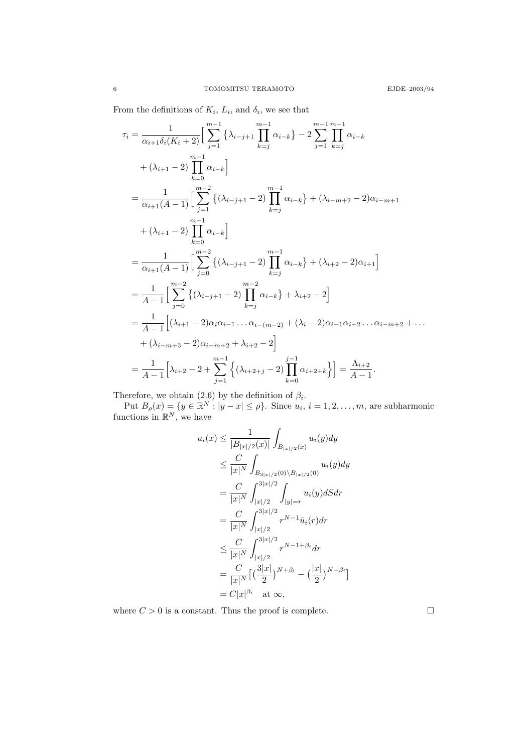From the definitions of  $K_i$ ,  $L_i$ , and  $\delta_i$ , we see that

$$
\tau_{i} = \frac{1}{\alpha_{i+1}\delta_{i}(K_{i}+2)} \Big[ \sum_{j=1}^{m-1} \left\{ \lambda_{i-j+1} \prod_{k=j}^{m-1} \alpha_{i-k} \right\} - 2 \sum_{j=1}^{m-1} \prod_{k=j}^{m-1} \alpha_{i-k} \n+ (\lambda_{i+1}-2) \prod_{k=0}^{m-1} \alpha_{i-k} \Big]
$$
\n
$$
= \frac{1}{\alpha_{i+1}(A-1)} \Big[ \sum_{j=1}^{m-2} \left\{ (\lambda_{i-j+1}-2) \prod_{k=j}^{m-1} \alpha_{i-k} \right\} + (\lambda_{i-m+2}-2) \alpha_{i-m+1} \n+ (\lambda_{i+1}-2) \prod_{k=0}^{m-1} \alpha_{i-k} \Big]
$$
\n
$$
= \frac{1}{\alpha_{i+1}(A-1)} \Big[ \sum_{j=0}^{m-2} \left\{ (\lambda_{i-j+1}-2) \prod_{k=j}^{m-1} \alpha_{i-k} \right\} + (\lambda_{i+2}-2) \alpha_{i+1} \Big]
$$
\n
$$
= \frac{1}{A-1} \Big[ \sum_{j=0}^{m-2} \left\{ (\lambda_{i-j+1}-2) \prod_{k=j}^{m-2} \alpha_{i-k} \right\} + \lambda_{i+2} - 2 \Big]
$$
\n
$$
= \frac{1}{A-1} \Big[ (\lambda_{i+1}-2) \alpha_{i} \alpha_{i-1} \dots \alpha_{i-(m-2)} + (\lambda_{i}-2) \alpha_{i-1} \alpha_{i-2} \dots \alpha_{i-m+2} + \dots \n+ (\lambda_{i-m+3}-2) \alpha_{i-m+2} + \lambda_{i+2} - 2 \Big]
$$
\n
$$
= \frac{1}{A-1} \Big[ \lambda_{i+2} - 2 + \sum_{j=1}^{m-1} \left\{ (\lambda_{i+2+j}-2) \prod_{k=0}^{j-1} \alpha_{i+2+k} \right\} \Big] = \frac{\lambda_{i+2}}{A-1}.
$$

Therefore, we obtain (2.6) by the definition of  $\beta_i$ .

Put  $B_{\rho}(x) = \{y \in \mathbb{R}^N : |y - x| \leq \rho\}$ . Since  $u_i, i = 1, 2, ..., m$ , are subharmonic functions in  $\mathbb{R}^N$ , we have

$$
u_i(x) \leq \frac{1}{|B_{|x|/2}(x)|} \int_{B_{|x|/2}(x)} u_i(y) dy
$$
  
\n
$$
\leq \frac{C}{|x|^N} \int_{B_{3|x|/2}(0) \setminus B_{|x|/2}(0)} u_i(y) dy
$$
  
\n
$$
= \frac{C}{|x|^N} \int_{|x|/2}^{3|x|/2} \int_{|y|=r} u_i(y) dS dr
$$
  
\n
$$
= \frac{C}{|x|^N} \int_{|x|/2}^{3|x|/2} r^{N-1} \bar{u}_i(r) dr
$$
  
\n
$$
\leq \frac{C}{|x|^N} \int_{|x|/2}^{3|x|/2} r^{N-1+\beta_i} dr
$$
  
\n
$$
= \frac{C}{|x|^N} [(\frac{3|x|}{2})^{N+\beta_i} - (\frac{|x|}{2})^{N+\beta_i}]
$$
  
\n
$$
= C|x|^{\beta_i} \text{ at } \infty,
$$

where  $C > 0$  is a constant. Thus the proof is complete.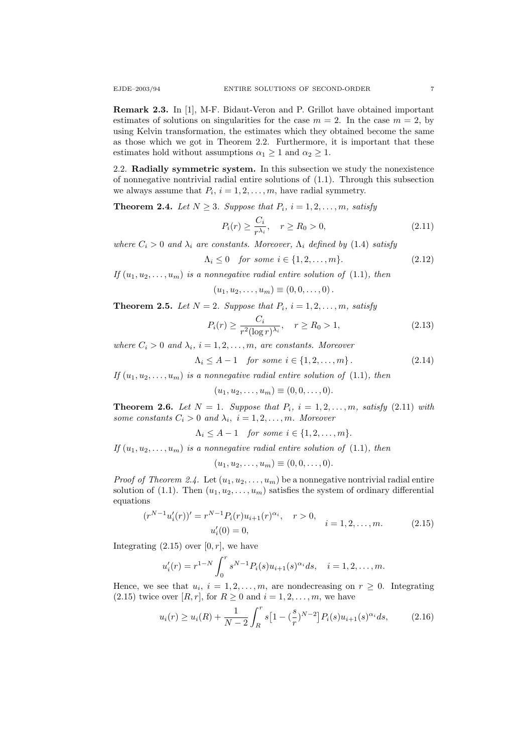Remark 2.3. In [1], M-F. Bidaut-Veron and P. Grillot have obtained important estimates of solutions on singularities for the case  $m = 2$ . In the case  $m = 2$ , by using Kelvin transformation, the estimates which they obtained become the same as those which we got in Theorem 2.2. Furthermore, it is important that these estimates hold without assumptions  $\alpha_1 \geq 1$  and  $\alpha_2 \geq 1$ .

2.2. Radially symmetric system. In this subsection we study the nonexistence of nonnegative nontrivial radial entire solutions of (1.1). Through this subsection we always assume that  $P_i$ ,  $i = 1, 2, ..., m$ , have radial symmetry.

**Theorem 2.4.** Let  $N \geq 3$ . Suppose that  $P_i$ ,  $i = 1, 2, ..., m$ , satisfy

$$
P_i(r) \ge \frac{C_i}{r^{\lambda_i}}, \quad r \ge R_0 > 0,
$$
\n(2.11)

where  $C_i > 0$  and  $\lambda_i$  are constants. Moreover,  $\Lambda_i$  defined by (1.4) satisfy

$$
\Lambda_i \le 0 \quad \text{for some } i \in \{1, 2, \dots, m\}. \tag{2.12}
$$

If  $(u_1, u_2, \ldots, u_m)$  is a nonnegative radial entire solution of (1.1), then

$$
(u_1, u_2, \ldots, u_m) \equiv (0, 0, \ldots, 0).
$$

**Theorem 2.5.** Let  $N = 2$ . Suppose that  $P_i$ ,  $i = 1, 2, ..., m$ , satisfy

$$
P_i(r) \ge \frac{C_i}{r^2 (\log r)^{\lambda_i}}, \quad r \ge R_0 > 1,
$$
\n(2.13)

where  $C_i > 0$  and  $\lambda_i$ ,  $i = 1, 2, \ldots, m$ , are constants. Moreover

$$
\Lambda_i \le A - 1 \quad \text{for some } i \in \{1, 2, \dots, m\}. \tag{2.14}
$$

If  $(u_1, u_2, \ldots, u_m)$  is a nonnegative radial entire solution of (1.1), then

$$
(u_1, u_2, \ldots, u_m) \equiv (0, 0, \ldots, 0).
$$

**Theorem 2.6.** Let  $N = 1$ . Suppose that  $P_i$ ,  $i = 1, 2, ..., m$ , satisfy (2.11) with some constants  $C_i > 0$  and  $\lambda_i$ ,  $i = 1, 2, ..., m$ . Moreover

 $\Lambda_i \leq A-1$  for some  $i \in \{1,2,\ldots,m\}.$ 

If  $(u_1, u_2, \ldots, u_m)$  is a nonnegative radial entire solution of (1.1), then

$$
(u_1, u_2, \dots, u_m) \equiv (0, 0, \dots, 0).
$$

*Proof of Theorem 2.4.* Let  $(u_1, u_2, \ldots, u_m)$  be a nonnegative nontrivial radial entire solution of (1.1). Then  $(u_1, u_2, \ldots, u_m)$  satisfies the system of ordinary differential equations

$$
(r^{N-1}u'_i(r))' = r^{N-1}P_i(r)u_{i+1}(r)^{\alpha_i}, \quad r > 0, \quad i = 1, 2, ..., m.
$$
 (2.15)  

$$
u'_i(0) = 0,
$$

Integrating  $(2.15)$  over  $[0, r]$ , we have

$$
u'_{i}(r) = r^{1-N} \int_{0}^{r} s^{N-1} P_{i}(s) u_{i+1}(s)^{\alpha_{i}} ds, \quad i = 1, 2, ..., m.
$$

Hence, we see that  $u_i$ ,  $i = 1, 2, ..., m$ , are nondecreasing on  $r \geq 0$ . Integrating (2.15) twice over  $[R, r]$ , for  $R \geq 0$  and  $i = 1, 2, \ldots, m$ , we have

$$
u_i(r) \ge u_i(R) + \frac{1}{N-2} \int_R^r s \left[ 1 - \left(\frac{s}{r}\right)^{N-2} \right] P_i(s) u_{i+1}(s)^{\alpha_i} ds, \tag{2.16}
$$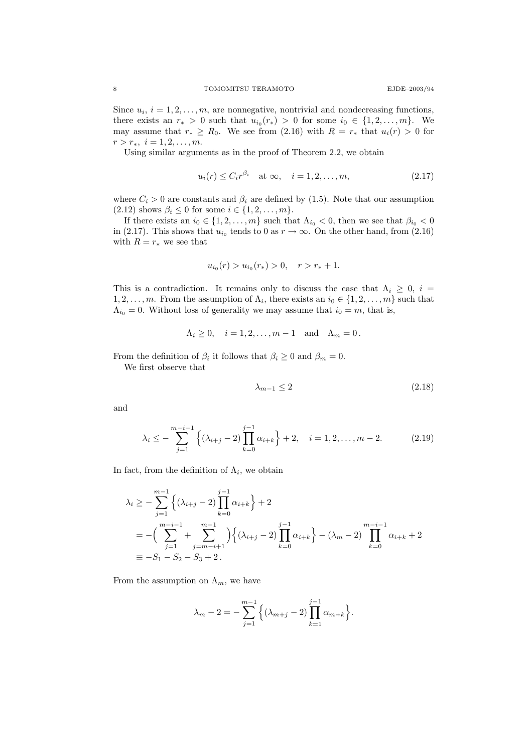Since  $u_i$ ,  $i = 1, 2, \ldots, m$ , are nonnegative, nontrivial and nondecreasing functions, there exists an  $r_* > 0$  such that  $u_{i_0}(r_*) > 0$  for some  $i_0 \in \{1, 2, ..., m\}$ . We may assume that  $r_* \ge R_0$ . We see from (2.16) with  $R = r_*$  that  $u_i(r) > 0$  for  $r > r_*, i = 1, 2, \ldots, m.$ 

Using similar arguments as in the proof of Theorem 2.2, we obtain

$$
u_i(r) \le C_i r^{\beta_i} \quad \text{at } \infty, \quad i = 1, 2, \dots, m,
$$
\n
$$
(2.17)
$$

where  $C_i > 0$  are constants and  $\beta_i$  are defined by (1.5). Note that our assumption  $(2.12)$  shows  $\beta_i \leq 0$  for some  $i \in \{1, 2, ..., m\}.$ 

If there exists an  $i_0 \in \{1, 2, ..., m\}$  such that  $\Lambda_{i_0} < 0$ , then we see that  $\beta_{i_0} < 0$ in (2.17). This shows that  $u_{i_0}$  tends to 0 as  $r \to \infty$ . On the other hand, from (2.16) with  $R = r_*$  we see that

$$
u_{i_0}(r) > u_{i_0}(r_*) > 0, \quad r > r_* + 1.
$$

This is a contradiction. It remains only to discuss the case that  $\Lambda_i \geq 0$ ,  $i =$  $1, 2, \ldots, m$ . From the assumption of  $\Lambda_i$ , there exists an  $i_0 \in \{1, 2, \ldots, m\}$  such that  $\Lambda_{i_0} = 0$ . Without loss of generality we may assume that  $i_0 = m$ , that is,

$$
\Lambda_i \ge 0, \quad i = 1, 2, \dots, m - 1 \quad \text{and} \quad \Lambda_m = 0 \, .
$$

From the definition of  $\beta_i$  it follows that  $\beta_i \geq 0$  and  $\beta_m = 0$ .

We first observe that

$$
\lambda_{m-1} \le 2\tag{2.18}
$$

and

$$
\lambda_i \leq -\sum_{j=1}^{m-i-1} \left\{ (\lambda_{i+j} - 2) \prod_{k=0}^{j-1} \alpha_{i+k} \right\} + 2, \quad i = 1, 2, \dots, m-2. \tag{2.19}
$$

In fact, from the definition of  $\Lambda_i$ , we obtain

$$
\lambda_i \ge -\sum_{j=1}^{m-1} \left\{ (\lambda_{i+j} - 2) \prod_{k=0}^{j-1} \alpha_{i+k} \right\} + 2
$$
  
=  $-(\sum_{j=1}^{m-i-1} + \sum_{j=m-i+1}^{m-1} ) \left\{ (\lambda_{i+j} - 2) \prod_{k=0}^{j-1} \alpha_{i+k} \right\} - (\lambda_m - 2) \prod_{k=0}^{m-i-1} \alpha_{i+k} + 2$   
=  $-S_1 - S_2 - S_3 + 2$ .

From the assumption on  $\Lambda_m$ , we have

$$
\lambda_m - 2 = -\sum_{j=1}^{m-1} \left\{ (\lambda_{m+j} - 2) \prod_{k=1}^{j-1} \alpha_{m+k} \right\}.
$$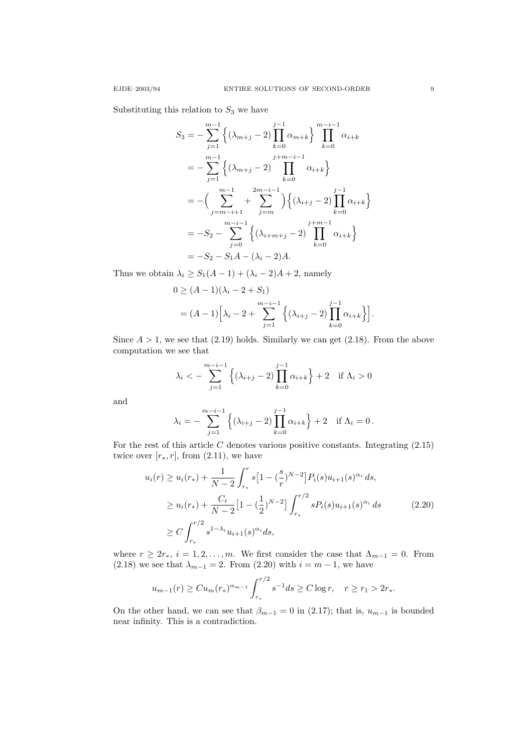Substituting this relation to  $S_3$  we have

$$
S_3 = -\sum_{j=1}^{m-1} \left\{ (\lambda_{m+j} - 2) \prod_{k=0}^{j-1} \alpha_{m+k} \right\} \prod_{k=0}^{m-i-1} \alpha_{i+k}
$$
  
\n
$$
= -\sum_{j=1}^{m-1} \left\{ (\lambda_{m+j} - 2) \prod_{k=0}^{j+m-i-1} \alpha_{i+k} \right\}
$$
  
\n
$$
= -\left( \sum_{j=m-i+1}^{m-1} + \sum_{j=m}^{2m-i-1} \right) \left\{ (\lambda_{i+j} - 2) \prod_{k=0}^{j-1} \alpha_{i+k} \right\}
$$
  
\n
$$
= -S_2 - \sum_{j=0}^{m-i-1} \left\{ (\lambda_{i+m+j} - 2) \prod_{k=0}^{j+m-1} \alpha_{i+k} \right\}
$$
  
\n
$$
= -S_2 - S_1 A - (\lambda_i - 2) A.
$$

Thus we obtain  $\lambda_i \geq S_1(A-1) + (\lambda_i - 2)A + 2$ , namely

$$
0 \ge (A - 1)(\lambda_i - 2 + S_1)
$$
  
=  $(A - 1)\left[\lambda_i - 2 + \sum_{j=1}^{m-i-1} \left\{ (\lambda_{i+j} - 2) \prod_{k=0}^{j-1} \alpha_{i+k} \right\} \right].$ 

Since  $A > 1$ , we see that (2.19) holds. Similarly we can get (2.18). From the above computation we see that

$$
\lambda_i < -\sum_{j=1}^{m-i-1} \left\{ (\lambda_{i+j} - 2) \prod_{k=0}^{j-1} \alpha_{i+k} \right\} + 2 \text{ if } \Lambda_i > 0
$$

and

$$
\lambda_i = -\sum_{j=1}^{m-i-1} \left\{ (\lambda_{i+j} - 2) \prod_{k=0}^{j-1} \alpha_{i+k} \right\} + 2 \quad \text{if } \Lambda_i = 0 \, .
$$

For the rest of this article  $C$  denotes various positive constants. Integrating  $(2.15)$ twice over  $[r_*, r]$ , from  $(2.11)$ , we have

$$
u_i(r) \ge u_i(r_*) + \frac{1}{N-2} \int_{r_*}^r s \left[1 - \left(\frac{s}{r}\right)^{N-2}\right] P_i(s) u_{i+1}(s)^{\alpha_i} ds,
$$
  
\n
$$
\ge u_i(r_*) + \frac{C_i}{N-2} \left[1 - \left(\frac{1}{2}\right)^{N-2}\right] \int_{r_*}^{r/2} s P_i(s) u_{i+1}(s)^{\alpha_i} ds \qquad (2.20)
$$
  
\n
$$
\ge C \int_{r_*}^{r/2} s^{1-\lambda_i} u_{i+1}(s)^{\alpha_i} ds,
$$

where  $r \geq 2r_*, i = 1, 2, ..., m$ . We first consider the case that  $\Lambda_{m-1} = 0$ . From (2.18) we see that  $\lambda_{m-1} = 2$ . From (2.20) with  $i = m - 1$ , we have

$$
u_{m-1}(r) \geq Cu_m(r_*)^{\alpha_{m-1}} \int_{r_*}^{r/2} s^{-1} ds \geq C \log r, \quad r \geq r_1 > 2r_*.
$$

On the other hand, we can see that  $\beta_{m-1} = 0$  in (2.17); that is,  $u_{m-1}$  is bounded near infinity. This is a contradiction.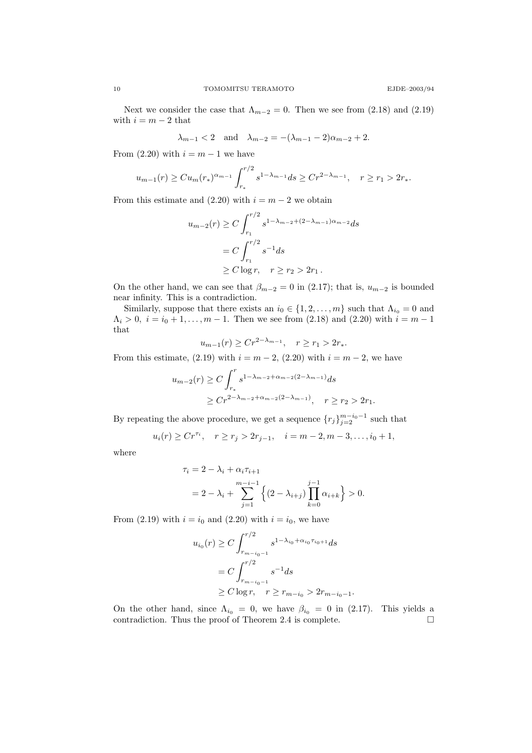Next we consider the case that  $\Lambda_{m-2} = 0$ . Then we see from (2.18) and (2.19) with  $i = m - 2$  that

$$
\lambda_{m-1} < 2
$$
 and  $\lambda_{m-2} = -(\lambda_{m-1} - 2)\alpha_{m-2} + 2$ .

From  $(2.20)$  with  $i = m - 1$  we have

$$
u_{m-1}(r) \geq Cu_m(r_*)^{\alpha_{m-1}} \int_{r_*}^{r/2} s^{1-\lambda_{m-1}} ds \geq Cr^{2-\lambda_{m-1}}, \quad r \geq r_1 > 2r_*.
$$

From this estimate and  $(2.20)$  with  $i = m - 2$  we obtain

$$
u_{m-2}(r) \ge C \int_{r_1}^{r/2} s^{1-\lambda_{m-2}+(2-\lambda_{m-1})\alpha_{m-2}} ds
$$
  
=  $C \int_{r_1}^{r/2} s^{-1} ds$   
 $\ge C \log r, \quad r \ge r_2 > 2r_1.$ 

On the other hand, we can see that  $\beta_{m-2} = 0$  in (2.17); that is,  $u_{m-2}$  is bounded near infinity. This is a contradiction.

Similarly, suppose that there exists an  $i_0 \in \{1, 2, ..., m\}$  such that  $\Lambda_{i_0} = 0$  and  $\Lambda_i > 0, i = i_0 + 1, \ldots, m - 1$ . Then we see from (2.18) and (2.20) with  $i = m - 1$ that

$$
u_{m-1}(r) \ge Cr^{2-\lambda_{m-1}}, \quad r \ge r_1 > 2r_*.
$$

From this estimate, (2.19) with  $i = m - 2$ , (2.20) with  $i = m - 2$ , we have

$$
u_{m-2}(r) \ge C \int_{r_*}^r s^{1-\lambda_{m-2}+\alpha_{m-2}(2-\lambda_{m-1})} ds
$$
  
 
$$
\ge Cr^{2-\lambda_{m-2}+\alpha_{m-2}(2-\lambda_{m-1})}, \quad r \ge r_2 > 2r_1.
$$

By repeating the above procedure, we get a sequence  $\{r_j\}_{j=2}^{m-i_0-1}$  such that

$$
u_i(r) \ge Cr^{\tau_i}, \quad r \ge r_j > 2r_{j-1}, \quad i = m-2, m-3, \ldots, i_0+1,
$$

where

$$
\tau_i = 2 - \lambda_i + \alpha_i \tau_{i+1}
$$
  
=  $2 - \lambda_i + \sum_{j=1}^{m-i-1} \left\{ (2 - \lambda_{i+j}) \prod_{k=0}^{j-1} \alpha_{i+k} \right\} > 0.$ 

From (2.19) with  $i = i_0$  and (2.20) with  $i = i_0$ , we have

$$
u_{i_0}(r) \ge C \int_{r_{m-i_0-1}}^{r/2} s^{1-\lambda_{i_0}+\alpha_{i_0}\tau_{i_0+1}} ds
$$
  
=  $C \int_{r_{m-i_0-1}}^{r/2} s^{-1} ds$   
 $\ge C \log r, \quad r \ge r_{m-i_0} > 2r_{m-i_0-1}.$ 

On the other hand, since  $\Lambda_{i_0} = 0$ , we have  $\beta_{i_0} = 0$  in (2.17). This yields a contradiction. Thus the proof of Theorem 2.4 is complete. contradiction. Thus the proof of Theorem 2.4 is complete.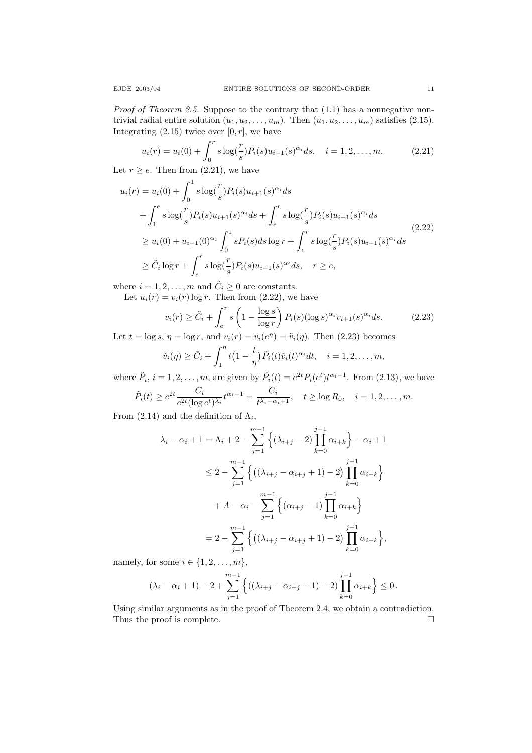*Proof of Theorem 2.5.* Suppose to the contrary that  $(1.1)$  has a nonnegative nontrivial radial entire solution  $(u_1, u_2, \ldots, u_m)$ . Then  $(u_1, u_2, \ldots, u_m)$  satisfies (2.15). Integrating  $(2.15)$  twice over  $[0, r]$ , we have

$$
u_i(r) = u_i(0) + \int_0^r s \log(\frac{r}{s}) P_i(s) u_{i+1}(s)^{\alpha_i} ds, \quad i = 1, 2, ..., m.
$$
 (2.21)

Let  $r \geq e$ . Then from  $(2.21)$ , we have

$$
u_i(r) = u_i(0) + \int_0^1 s \log(\frac{r}{s}) P_i(s) u_{i+1}(s)^{\alpha_i} ds
$$
  
+ 
$$
\int_1^e s \log(\frac{r}{s}) P_i(s) u_{i+1}(s)^{\alpha_i} ds + \int_e^r s \log(\frac{r}{s}) P_i(s) u_{i+1}(s)^{\alpha_i} ds
$$
  

$$
\ge u_i(0) + u_{i+1}(0)^{\alpha_i} \int_0^1 s P_i(s) ds \log r + \int_e^r s \log(\frac{r}{s}) P_i(s) u_{i+1}(s)^{\alpha_i} ds
$$
  

$$
\ge \tilde{C}_i \log r + \int_e^r s \log(\frac{r}{s}) P_i(s) u_{i+1}(s)^{\alpha_i} ds, \quad r \ge e,
$$
 (2.22)

where  $i = 1, 2, ..., m$  and  $\tilde{C}_i \geq 0$  are constants.

Let  $u_i(r) = v_i(r) \log r$ . Then from (2.22), we have

$$
v_i(r) \ge \tilde{C}_i + \int_e^r s\left(1 - \frac{\log s}{\log r}\right) P_i(s) (\log s)^{\alpha_i} v_{i+1}(s)^{\alpha_i} ds. \tag{2.23}
$$

Let  $t = \log s$ ,  $\eta = \log r$ , and  $v_i(r) = v_i(e^{\eta}) = \tilde{v}_i(\eta)$ . Then (2.23) becomes

$$
\tilde{v}_i(\eta) \ge \tilde{C}_i + \int_1^{\eta} t \left(1 - \frac{t}{\eta}\right) \tilde{P}_i(t) \tilde{v}_i(t)^{\alpha_i} dt, \quad i = 1, 2, \dots, m,
$$

where  $\tilde{P}_i$ ,  $i = 1, 2, ..., m$ , are given by  $\tilde{P}_i(t) = e^{2t} P_i(e^t) t^{\alpha_i - 1}$ . From (2.13), we have

$$
\tilde{P}_i(t) \geq e^{2t} \frac{C_i}{e^{2t} (\log e^t)^{\lambda_i}} t^{\alpha_i-1} = \frac{C_i}{t^{\lambda_i-\alpha_i+1}}, \quad t \geq \log R_0, \quad i=1,2,\ldots,m.
$$

From (2.14) and the definition of  $\Lambda_i$ ,

$$
\lambda_i - \alpha_i + 1 = \Lambda_i + 2 - \sum_{j=1}^{m-1} \left\{ (\lambda_{i+j} - 2) \prod_{k=0}^{j-1} \alpha_{i+k} \right\} - \alpha_i + 1
$$
  
\n
$$
\leq 2 - \sum_{j=1}^{m-1} \left\{ ((\lambda_{i+j} - \alpha_{i+j} + 1) - 2) \prod_{k=0}^{j-1} \alpha_{i+k} \right\}
$$
  
\n
$$
+ A - \alpha_i - \sum_{j=1}^{m-1} \left\{ (\alpha_{i+j} - 1) \prod_{k=0}^{j-1} \alpha_{i+k} \right\}
$$
  
\n
$$
= 2 - \sum_{j=1}^{m-1} \left\{ ((\lambda_{i+j} - \alpha_{i+j} + 1) - 2) \prod_{k=0}^{j-1} \alpha_{i+k} \right\},
$$

namely, for some  $i \in \{1, 2, \ldots, m\},\$ 

$$
(\lambda_i - \alpha_i + 1) - 2 + \sum_{j=1}^{m-1} \left\{ \left( (\lambda_{i+j} - \alpha_{i+j} + 1) - 2 \right) \prod_{k=0}^{j-1} \alpha_{i+k} \right\} \le 0.
$$

Using similar arguments as in the proof of Theorem 2.4, we obtain a contradiction. Thus the proof is complete.  $\hfill \square$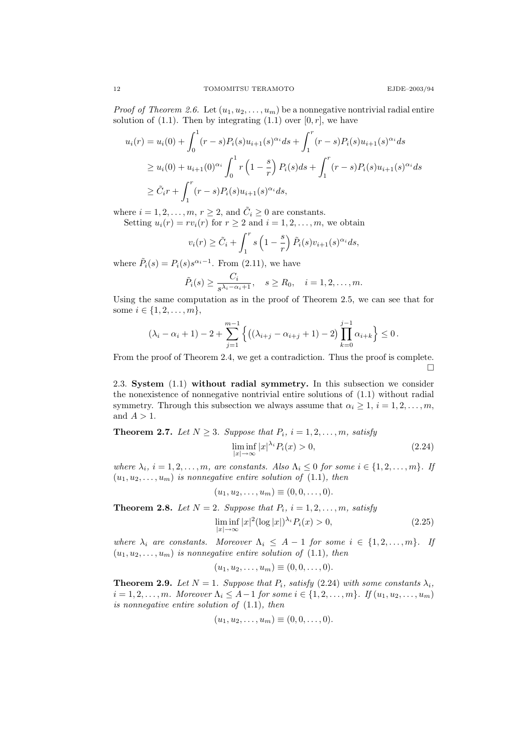*Proof of Theorem 2.6.* Let  $(u_1, u_2, \ldots, u_m)$  be a nonnegative nontrivial radial entire solution of  $(1.1)$ . Then by integrating  $(1.1)$  over  $[0, r]$ , we have

$$
u_i(r) = u_i(0) + \int_0^1 (r - s)P_i(s)u_{i+1}(s)^{\alpha_i}ds + \int_1^r (r - s)P_i(s)u_{i+1}(s)^{\alpha_i}ds
$$
  
\n
$$
\geq u_i(0) + u_{i+1}(0)^{\alpha_i} \int_0^1 r\left(1 - \frac{s}{r}\right)P_i(s)ds + \int_1^r (r - s)P_i(s)u_{i+1}(s)^{\alpha_i}ds
$$
  
\n
$$
\geq \tilde{C}_i r + \int_1^r (r - s)P_i(s)u_{i+1}(s)^{\alpha_i}ds,
$$

where  $i = 1, 2, ..., m, r \geq 2$ , and  $\tilde{C}_i \geq 0$  are constants.

Setting  $u_i(r) = rv_i(r)$  for  $r \ge 2$  and  $i = 1, 2, ..., m$ , we obtain

$$
v_i(r) \ge \tilde{C}_i + \int_1^r s\left(1 - \frac{s}{r}\right) \tilde{P}_i(s) v_{i+1}(s)^{\alpha_i} ds,
$$

where  $\tilde{P}_i(s) = P_i(s) s^{\alpha_i-1}$ . From (2.11), we have

$$
\tilde{P}_i(s) \ge \frac{C_i}{s^{\lambda_i - \alpha_i + 1}}, \quad s \ge R_0, \quad i = 1, 2, \dots, m.
$$

Using the same computation as in the proof of Theorem 2.5, we can see that for some  $i \in \{1, 2, ..., m\},\$ 

$$
(\lambda_i - \alpha_i + 1) - 2 + \sum_{j=1}^{m-1} \left\{ \left( (\lambda_{i+j} - \alpha_{i+j} + 1) - 2 \right) \prod_{k=0}^{j-1} \alpha_{i+k} \right\} \le 0.
$$

From the proof of Theorem 2.4, we get a contradiction. Thus the proof is complete.  $\Box$ 

2.3. System (1.1) without radial symmetry. In this subsection we consider the nonexistence of nonnegative nontrivial entire solutions of (1.1) without radial symmetry. Through this subsection we always assume that  $\alpha_i \geq 1, i = 1, 2, \ldots, m$ , and  $A > 1$ .

# **Theorem 2.7.** Let  $N \geq 3$ . Suppose that  $P_i$ ,  $i = 1, 2, ..., m$ , satisfy

$$
\liminf_{|x| \to \infty} |x|^{\lambda_i} P_i(x) > 0,
$$
\n(2.24)

where  $\lambda_i$ ,  $i = 1, 2, ..., m$ , are constants. Also  $\Lambda_i \leq 0$  for some  $i \in \{1, 2, ..., m\}$ . If  $(u_1, u_2, \ldots, u_m)$  is nonnegative entire solution of  $(1.1)$ , then

$$
(u_1, u_2, \dots, u_m) \equiv (0, 0, \dots, 0).
$$

**Theorem 2.8.** Let  $N = 2$ . Suppose that  $P_i$ ,  $i = 1, 2, ..., m$ , satisfy

$$
\liminf_{|x| \to \infty} |x|^2 (\log |x|)^{\lambda_i} P_i(x) > 0,
$$
\n(2.25)

where  $\lambda_i$  are constants. Moreover  $\Lambda_i \leq A-1$  for some  $i \in \{1,2,\ldots,m\}$ . If  $(u_1, u_2, \ldots, u_m)$  is nonnegative entire solution of (1.1), then

$$
(u_1, u_2, \dots, u_m) \equiv (0, 0, \dots, 0).
$$

**Theorem 2.9.** Let  $N = 1$ . Suppose that  $P_i$ , satisfy (2.24) with some constants  $\lambda_i$ ,  $i = 1, 2, \ldots, m$ . Moreover  $\Lambda_i \leq A-1$  for some  $i \in \{1, 2, \ldots, m\}$ . If  $(u_1, u_2, \ldots, u_m)$ is nonnegative entire solution of (1.1), then

$$
(u_1, u_2, \ldots, u_m) \equiv (0, 0, \ldots, 0).
$$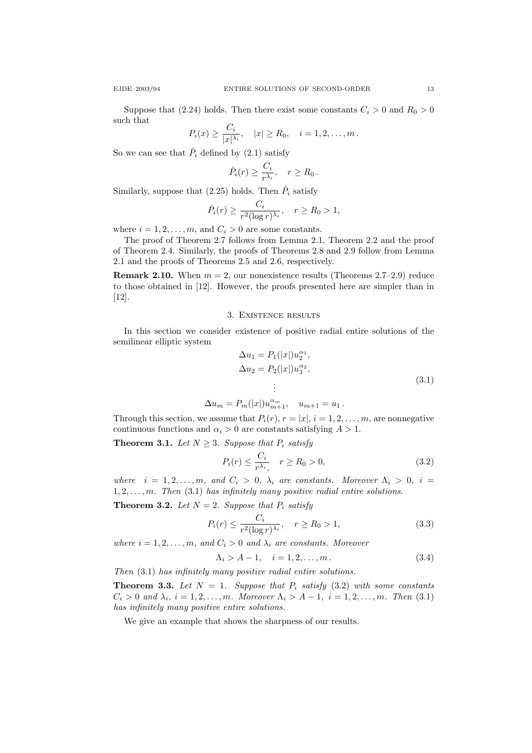Suppose that (2.24) holds. Then there exist some constants  $C_i > 0$  and  $R_0 > 0$ such that

$$
P_i(x) \geq \frac{C_i}{|x|^{\lambda_i}}, \quad |x| \geq R_0, \quad i = 1, 2, \dots, m.
$$

So we can see that  $\hat{P}_i$  defined by (2.1) satisfy

$$
\hat{P}_i(r) \ge \frac{C_i}{r^{\lambda_i}}, \quad r \ge R_0.
$$

Similarly, suppose that  $(2.25)$  holds. Then  $\hat{P}_i$  satisfy

$$
\hat{P}_i(r) \ge \frac{C_i}{r^2 (\log r)^{\lambda_i}}, \quad r \ge R_0 > 1,
$$

where  $i = 1, 2, \ldots, m$ , and  $C_i > 0$  are some constants.

The proof of Theorem 2.7 follows from Lemma 2.1, Theorem 2.2 and the proof of Theorem 2.4. Similarly, the proofs of Theorems 2.8 and 2.9 follow from Lemma 2.1 and the proofs of Theorems 2.5 and 2.6, respectively.

**Remark 2.10.** When  $m = 2$ , our nonexistence results (Theorems 2.7–2.9) reduce to those obtained in [12]. However, the proofs presented here are simpler than in [12].

#### 3. Existence results

In this section we consider existence of positive radial entire solutions of the semilinear elliptic system

$$
\Delta u_1 = P_1(|x|)u_2^{\alpha_1},
$$
  
\n
$$
\Delta u_2 = P_2(|x|)u_3^{\alpha_2},
$$
  
\n
$$
\vdots
$$
\n(3.1)

$$
\Delta u_m = P_m(|x|)u_{m+1}^{\alpha_m}, \quad u_{m+1} = u_1.
$$

Through this section, we assume that  $P_i(r)$ ,  $r = |x|$ ,  $i = 1, 2, \ldots, m$ , are nonnegative continuous functions and  $\alpha_i > 0$  are constants satisfying  $A > 1$ .

**Theorem 3.1.** Let  $N \geq 3$ . Suppose that  $P_i$  satisfy

$$
P_i(r) \le \frac{C_i}{r^{\lambda_i}}, \quad r \ge R_0 > 0,
$$
\n(3.2)

where  $i = 1, 2, ..., m$ , and  $C_i > 0$ ,  $\lambda_i$  are constants. Moreover  $\Lambda_i > 0$ ,  $i =$  $1, 2, \ldots, m$ . Then  $(3.1)$  has infinitely many positive radial entire solutions.

**Theorem 3.2.** Let  $N = 2$ . Suppose that  $P_i$  satisfy

$$
P_i(r) \le \frac{C_i}{r^2 (\log r)^{\lambda_i}}, \quad r \ge R_0 > 1,
$$
\n(3.3)

where  $i = 1, 2, \ldots, m$ , and  $C_i > 0$  and  $\lambda_i$  are constants. Moreover

$$
\Lambda_i > A - 1, \quad i = 1, 2, \dots, m. \tag{3.4}
$$

Then (3.1) has infinitely many positive radial entire solutions.

**Theorem 3.3.** Let  $N = 1$ . Suppose that  $P_i$  satisfy (3.2) with some constants  $C_i > 0$  and  $\lambda_i$ ,  $i = 1, 2, ..., m$ . Moreover  $\Lambda_i > A - 1$ ,  $i = 1, 2, ..., m$ . Then (3.1) has infinitely many positive entire solutions.

We give an example that shows the sharpness of our results.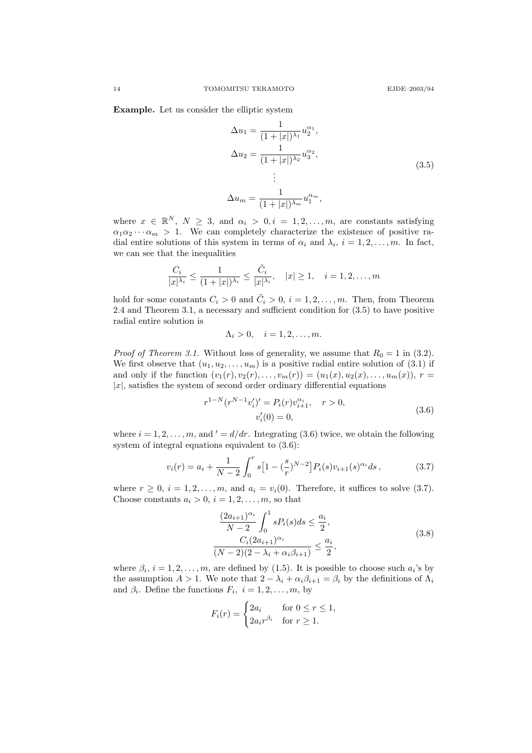Example. Let us consider the elliptic system

$$
\Delta u_1 = \frac{1}{(1+|x|)^{\lambda_1}} u_2^{\alpha_1},
$$
  
\n
$$
\Delta u_2 = \frac{1}{(1+|x|)^{\lambda_2}} u_3^{\alpha_2},
$$
  
\n
$$
\vdots
$$
  
\n
$$
\Delta u_m = \frac{1}{(1+|x|)^{\lambda_m}} u_1^{\alpha_m},
$$
\n(3.5)

where  $x \in \mathbb{R}^N$ ,  $N \geq 3$ , and  $\alpha_i > 0$ ,  $i = 1, 2, ..., m$ , are constants satisfying  $\alpha_1 \alpha_2 \cdots \alpha_m > 1$ . We can completely characterize the existence of positive radial entire solutions of this system in terms of  $\alpha_i$  and  $\lambda_i$ ,  $i = 1, 2, \ldots, m$ . In fact, we can see that the inequalities

$$
\frac{C_i}{|x|^{\lambda_i}} \le \frac{1}{(1+|x|)^{\lambda_i}} \le \frac{\tilde{C}_i}{|x|^{\lambda_i}}, \quad |x| \ge 1, \quad i = 1, 2, \dots, m
$$

hold for some constants  $C_i > 0$  and  $\tilde{C}_i > 0$ ,  $i = 1, 2, ..., m$ . Then, from Theorem 2.4 and Theorem 3.1, a necessary and sufficient condition for (3.5) to have positive radial entire solution is

$$
\Lambda_i > 0, \quad i = 1, 2, \dots, m.
$$

*Proof of Theorem 3.1.* Without loss of generality, we assume that  $R_0 = 1$  in (3.2). We first observe that  $(u_1, u_2, \ldots, u_m)$  is a positive radial entire solution of (3.1) if and only if the function  $(v_1(r), v_2(r), \ldots, v_m(r)) = (u_1(x), u_2(x), \ldots, u_m(x)), r =$  $|x|$ , satisfies the system of second order ordinary differential equations

$$
r^{1-N}(r^{N-1}v_i')' = P_i(r)v_{i+1}^{\alpha_i}, \quad r > 0,
$$
  

$$
v_i'(0) = 0,
$$
 (3.6)

where  $i = 1, 2, \ldots, m$ , and  $d' = d/dr$ . Integrating (3.6) twice, we obtain the following system of integral equations equivalent to (3.6):

$$
v_i(r) = a_i + \frac{1}{N-2} \int_0^r s \left[ 1 - \left(\frac{s}{r}\right)^{N-2} \right] P_i(s) v_{i+1}(s)^{\alpha_i} ds, \tag{3.7}
$$

where  $r \geq 0$ ,  $i = 1, 2, \ldots, m$ , and  $a_i = v_i(0)$ . Therefore, it suffices to solve (3.7). Choose constants  $a_i > 0$ ,  $i = 1, 2, \ldots, m$ , so that

$$
\frac{(2a_{i+1})^{\alpha_i}}{N-2} \int_0^1 sP_i(s)ds \le \frac{a_i}{2},
$$
  

$$
\frac{C_i (2a_{i+1})^{\alpha_i}}{(N-2)(2-\lambda_i + \alpha_i \beta_{i+1})} \le \frac{a_i}{2},
$$
\n(3.8)

where  $\beta_i$ ,  $i = 1, 2, ..., m$ , are defined by (1.5). It is possible to choose such  $a_i$ 's by the assumption  $A > 1$ . We note that  $2 - \lambda_i + \alpha_i \beta_{i+1} = \beta_i$  by the definitions of  $\Lambda_i$ and  $\beta_i$ . Define the functions  $F_i$ ,  $i = 1, 2, ..., m$ , by

$$
F_i(r) = \begin{cases} 2a_i & \text{for } 0 \le r \le 1, \\ 2a_i r^{\beta_i} & \text{for } r \ge 1. \end{cases}
$$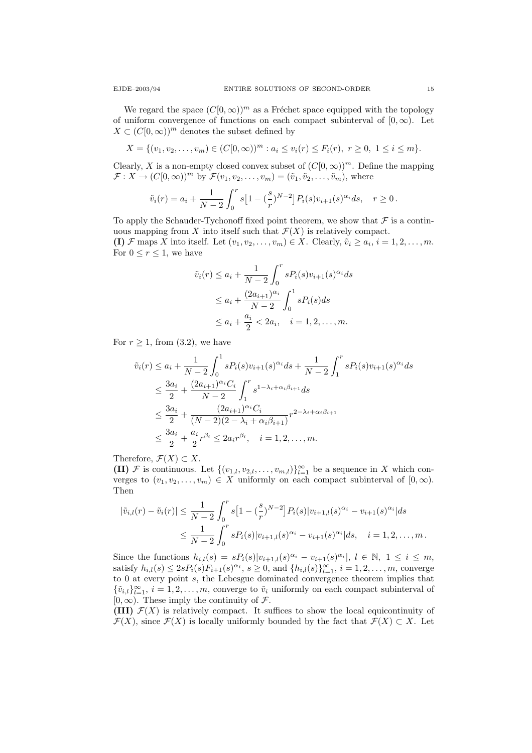We regard the space  $(C[0,\infty))^m$  as a Fréchet space equipped with the topology of uniform convergence of functions on each compact subinterval of  $[0,\infty)$ . Let  $X \subset (C[0,\infty))^m$  denotes the subset defined by

$$
X = \{(v_1, v_2, \dots, v_m) \in (C[0, \infty))^m : a_i \le v_i(r) \le F_i(r), r \ge 0, 1 \le i \le m\}.
$$

Clearly, X is a non-empty closed convex subset of  $(C[0,\infty))^m$ . Define the mapping  $\mathcal{F}: X \to (C[0,\infty))^m$  by  $\mathcal{F}(v_1,v_2,\ldots,v_m) = (\tilde{v}_1,\tilde{v}_2,\ldots,\tilde{v}_m)$ , where

$$
\tilde{v}_i(r) = a_i + \frac{1}{N-2} \int_0^r s \left[ 1 - \left(\frac{s}{r}\right)^{N-2} \right] P_i(s) v_{i+1}(s)^{\alpha_i} ds, \quad r \ge 0.
$$

To apply the Schauder-Tychonoff fixed point theorem, we show that  $\mathcal F$  is a continuous mapping from X into itself such that  $\mathcal{F}(X)$  is relatively compact. (I)  $\mathcal F$  maps X into itself. Let  $(v_1, v_2, \ldots, v_m) \in X$ . Clearly,  $\tilde{v}_i \geq a_i, i = 1, 2, \ldots, m$ . For  $0 \leq r \leq 1$ , we have

$$
\tilde{v}_i(r) \le a_i + \frac{1}{N-2} \int_0^r s P_i(s) v_{i+1}(s)^{\alpha_i} ds
$$
  
\n
$$
\le a_i + \frac{(2a_{i+1})^{\alpha_i}}{N-2} \int_0^1 s P_i(s) ds
$$
  
\n
$$
\le a_i + \frac{a_i}{2} < 2a_i, \quad i = 1, 2, ..., m.
$$

For  $r \geq 1$ , from (3.2), we have

$$
\tilde{v}_i(r) \le a_i + \frac{1}{N-2} \int_0^1 s P_i(s) v_{i+1}(s)^{\alpha_i} ds + \frac{1}{N-2} \int_1^r s P_i(s) v_{i+1}(s)^{\alpha_i} ds
$$
  
\n
$$
\le \frac{3a_i}{2} + \frac{(2a_{i+1})^{\alpha_i} C_i}{N-2} \int_1^r s^{1-\lambda_i + \alpha_i \beta_{i+1}} ds
$$
  
\n
$$
\le \frac{3a_i}{2} + \frac{(2a_{i+1})^{\alpha_i} C_i}{(N-2)(2-\lambda_i + \alpha_i \beta_{i+1})} r^{2-\lambda_i + \alpha_i \beta_{i+1}}
$$
  
\n
$$
\le \frac{3a_i}{2} + \frac{a_i}{2} r^{\beta_i} \le 2a_i r^{\beta_i}, \quad i = 1, 2, ..., m.
$$

Therefore,  $\mathcal{F}(X) \subset X$ .

(II) F is continuous. Let  $\{(v_{1,l}, v_{2,l}, \ldots, v_{m,l})\}_{l=1}^{\infty}$  be a sequence in X which converges to  $(v_1, v_2, \ldots, v_m) \in X$  uniformly on each compact subinterval of  $[0, \infty)$ . Then

$$
|\tilde{v}_{i,l}(r) - \tilde{v}_i(r)| \le \frac{1}{N-2} \int_0^r s \left[1 - \left(\frac{s}{r}\right)^{N-2}\right] P_i(s) |v_{i+1,l}(s)^{\alpha_i} - v_{i+1}(s)^{\alpha_i}| ds
$$
  

$$
\le \frac{1}{N-2} \int_0^r s P_i(s) |v_{i+1,l}(s)^{\alpha_i} - v_{i+1}(s)^{\alpha_i}| ds, \quad i = 1, 2, ..., m.
$$

Since the functions  $h_{i,l}(s) = sP_i(s)|v_{i+1,l}(s)^{\alpha_i} - v_{i+1}(s)^{\alpha_i}|, l \in \mathbb{N}, 1 \le i \le m$ , satisfy  $h_{i,l}(s) \leq 2sP_i(s)F_{i+1}(s)^{\alpha_i}, s \geq 0$ , and  $\{h_{i,l}(s)\}_{l=1}^{\infty}, i = 1, 2, ..., m$ , converge to 0 at every point s, the Lebesgue dominated convergence theorem implies that  $\{\tilde{v}_{i,l}\}_{l=1}^{\infty}, i = 1, 2, \ldots, m$ , converge to  $\tilde{v}_i$  uniformly on each compact subinterval of  $[0, \infty)$ . These imply the continuity of  $\mathcal{F}$ .

(III)  $\mathcal{F}(X)$  is relatively compact. It suffices to show the local equicontinuity of  $\mathcal{F}(X)$ , since  $\mathcal{F}(X)$  is locally uniformly bounded by the fact that  $\mathcal{F}(X) \subset X$ . Let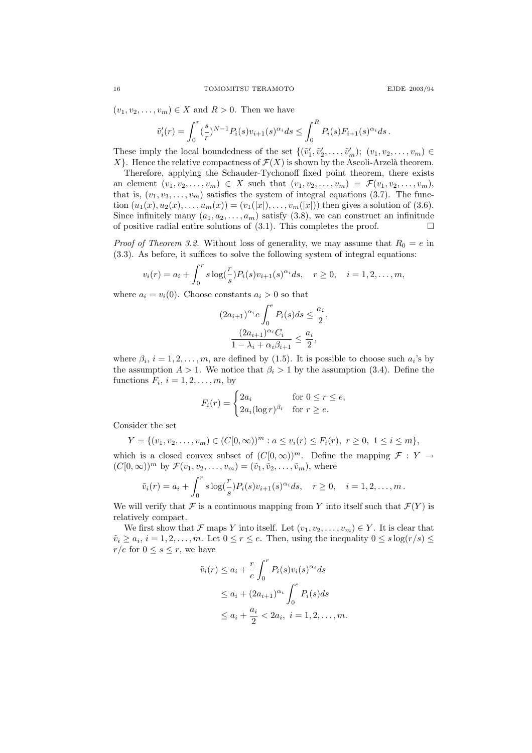$(v_1, v_2, \ldots, v_m) \in X$  and  $R > 0$ . Then we have

$$
\tilde{v}'_i(r) = \int_0^r \left(\frac{s}{r}\right)^{N-1} P_i(s) v_{i+1}(s)^{\alpha_i} ds \le \int_0^R P_i(s) F_{i+1}(s)^{\alpha_i} ds.
$$

These imply the local boundedness of the set  $\{(\tilde{v}'_1, \tilde{v}'_2, \ldots, \tilde{v}'_m); (v_1, v_2, \ldots, v_m) \in$  $X$ . Hence the relative compactness of  $\mathcal{F}(X)$  is shown by the Ascoli-Arzelà theorem.

Therefore, applying the Schauder-Tychonoff fixed point theorem, there exists an element  $(v_1, v_2, \ldots, v_m) \in X$  such that  $(v_1, v_2, \ldots, v_m) = \mathcal{F}(v_1, v_2, \ldots, v_m)$ , that is,  $(v_1, v_2, \ldots, v_m)$  satisfies the system of integral equations (3.7). The function  $(u_1(x), u_2(x), \ldots, u_m(x)) = (v_1(|x|), \ldots, v_m(|x|))$  then gives a solution of (3.6). Since infinitely many  $(a_1, a_2, \ldots, a_m)$  satisfy  $(3.8)$ , we can construct an infinitude of positive radial entire solutions of  $(3.1)$ . This completes the proof.

*Proof of Theorem 3.2.* Without loss of generality, we may assume that  $R_0 = e$  in (3.3). As before, it suffices to solve the following system of integral equations:

$$
v_i(r) = a_i + \int_0^r s \log(\frac{r}{s}) P_i(s) v_{i+1}(s)^{\alpha_i} ds, \quad r \ge 0, \quad i = 1, 2, ..., m,
$$

where  $a_i = v_i(0)$ . Choose constants  $a_i > 0$  so that

$$
(2a_{i+1})^{\alpha_i} e \int_0^e P_i(s) ds \le \frac{a_i}{2},
$$

$$
\frac{(2a_{i+1})^{\alpha_i} C_i}{1 - \lambda_i + \alpha_i \beta_{i+1}} \le \frac{a_i}{2},
$$

where  $\beta_i$ ,  $i = 1, 2, ..., m$ , are defined by (1.5). It is possible to choose such  $a_i$ 's by the assumption  $A > 1$ . We notice that  $\beta_i > 1$  by the assumption (3.4). Define the functions  $F_i$ ,  $i = 1, 2, \ldots, m$ , by

$$
F_i(r) = \begin{cases} 2a_i & \text{for } 0 \le r \le e, \\ 2a_i(\log r)^{\beta_i} & \text{for } r \ge e. \end{cases}
$$

Consider the set

$$
Y = \{(v_1, v_2, \dots, v_m) \in (C[0, \infty))^m : a \le v_i(r) \le F_i(r), r \ge 0, 1 \le i \le m\},\
$$

which is a closed convex subset of  $(C[0,\infty))^m$ . Define the mapping  $\mathcal{F}: Y \to Y$  $(C[0,\infty))^m$  by  $\mathcal{F}(v_1,v_2,\ldots,v_m) = (\tilde{v}_1,\tilde{v}_2,\ldots,\tilde{v}_m)$ , where

$$
\tilde{v}_i(r) = a_i + \int_0^r s \log(\frac{r}{s}) P_i(s) v_{i+1}(s)^{\alpha_i} ds, \quad r \ge 0, \quad i = 1, 2, ..., m.
$$

We will verify that  $\mathcal F$  is a continuous mapping from Y into itself such that  $\mathcal F(Y)$  is relatively compact.

We first show that F maps Y into itself. Let  $(v_1, v_2, \ldots, v_m) \in Y$ . It is clear that  $\tilde{v}_i \ge a_i, i = 1, 2, \ldots, m$ . Let  $0 \le r \le e$ . Then, using the inequality  $0 \le s \log(r/s) \le$  $r/e$  for  $0 \leq s \leq r$ , we have

$$
\tilde{v}_i(r) \le a_i + \frac{r}{e} \int_0^r P_i(s) v_i(s)^{\alpha_i} ds
$$
  
\n
$$
\le a_i + (2a_{i+1})^{\alpha_i} \int_0^e P_i(s) ds
$$
  
\n
$$
\le a_i + \frac{a_i}{2} < 2a_i, \ i = 1, 2, \dots, m.
$$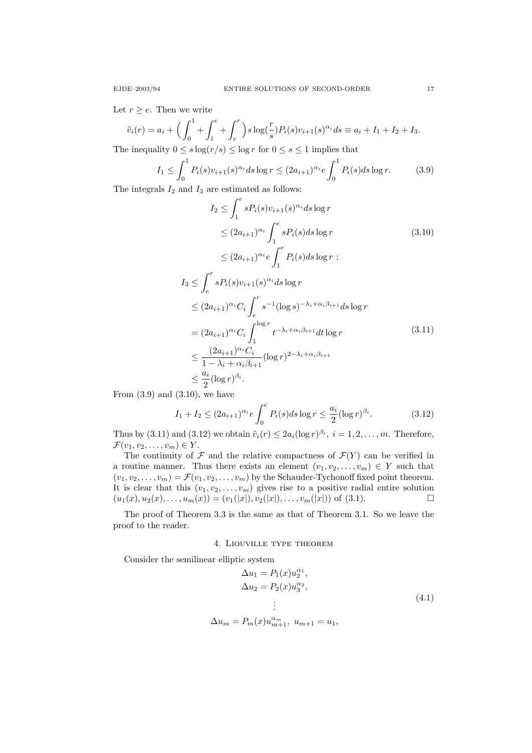Let  $r \geq e$ . Then we write

$$
\tilde{v}_i(r) = a_i + \left(\int_0^1 + \int_1^e + \int_e^r\right) s \log(\frac{r}{s}) P_i(s) v_{i+1}(s)^{\alpha_i} ds \equiv a_i + I_1 + I_2 + I_3.
$$

The inequality  $0 \leq s \log(r/s) \leq \log r$  for  $0 \leq s \leq 1$  implies that

$$
I_1 \le \int_0^1 P_i(s)v_{i+1}(s)^{\alpha_i} ds \log r \le (2a_{i+1})^{\alpha_i} e \int_0^1 P_i(s) ds \log r.
$$
 (3.9)

The integrals  $I_2$  and  $I_3$  are estimated as follows:

$$
I_2 \leq \int_1^e sP_i(s)v_{i+1}(s)^{\alpha_i} ds \log r
$$
  
\n
$$
\leq (2a_{i+1})^{\alpha_i} \int_1^e sP_i(s)ds \log r
$$
  
\n
$$
\leq (2a_{i+1})^{\alpha_i} e \int_1^e P_i(s)ds \log r ;
$$
  
\n
$$
I_3 \leq \int_e^r sP_i(s)v_{i+1}(s)^{\alpha_i} ds \log r
$$
  
\n
$$
\leq (2a_{i+1})^{\alpha_i} C_i \int_e^r s^{-1} (\log s)^{-\lambda_i + \alpha_i \beta_{i+1}} ds \log r
$$
  
\n
$$
= (2a_{i+1})^{\alpha_i} C_i \int_1^{\log r} t^{-\lambda_i + \alpha_i \beta_{i+1}} dt \log r
$$
  
\n
$$
\leq \frac{(2a_{i+1})^{\alpha_i} C_i}{1 - \lambda_i + \alpha_i \beta_{i+1}} (\log r)^{2 - \lambda_i + \alpha_i \beta_{i+1}}
$$
  
\n
$$
\leq \frac{a_i}{2} (\log r)^{\beta_i}.
$$
  
\n(3.11)

From  $(3.9)$  and  $(3.10)$ , we have

$$
I_1 + I_2 \le (2a_{i+1})^{\alpha_i} e \int_0^e P_i(s) ds \log r \le \frac{a_i}{2} (\log r)^{\beta_i}.
$$
 (3.12)

Thus by (3.11) and (3.12) we obtain  $\tilde{v}_i(r) \leq 2a_i(\log r)^{\beta_i}$ ,  $i = 1, 2, ..., m$ . Therefore,  $\mathcal{F}(v_1, v_2, \ldots, v_m) \in Y$ .

The continuity of  $\mathcal F$  and the relative compactness of  $\mathcal F(Y)$  can be verified in a routine manner. Thus there exists an element  $(v_1, v_2, \ldots, v_m) \in Y$  such that  $(v_1, v_2, \ldots, v_m) = \mathcal{F}(v_1, v_2, \ldots, v_m)$  by the Schauder-Tychonoff fixed point theorem. It is clear that this  $(v_1, v_2, \ldots, v_m)$  gives rise to a positive radial entire solution  $(u_1(x), u_2(x), \ldots, u_m(x)) = (v_1(|x|), v_2(|x|), \ldots, v_m(|x|))$  of (3.1).

The proof of Theorem 3.3 is the same as that of Theorem 3.1. So we leave the proof to the reader.

## 4. Liouville type theorem

Consider the semilinear elliptic system

$$
\Delta u_1 = P_1(x) u_2^{\alpha_1},
$$
  
\n
$$
\Delta u_2 = P_2(x) u_3^{\alpha_2},
$$
  
\n
$$
\vdots
$$
  
\n
$$
\Delta u_m = P_m(x) u_{m+1}^{\alpha_m}, \ u_{m+1} = u_1,
$$
\n(4.1)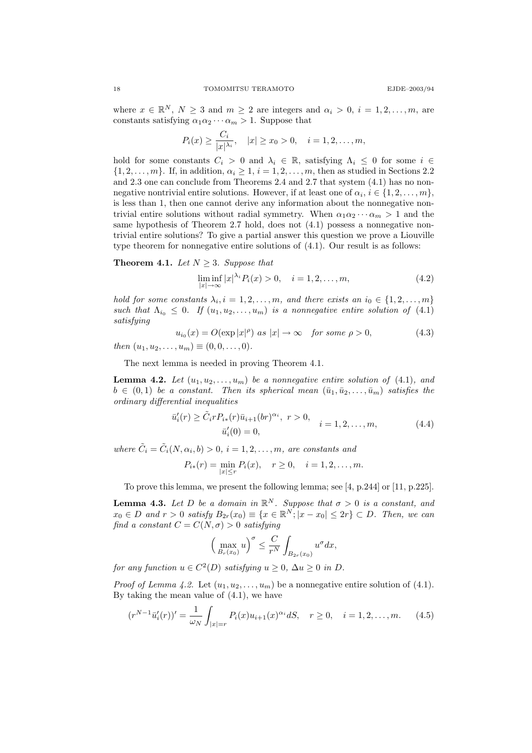where  $x \in \mathbb{R}^N$ ,  $N \geq 3$  and  $m \geq 2$  are integers and  $\alpha_i > 0$ ,  $i = 1, 2, \ldots, m$ , are constants satisfying  $\alpha_1 \alpha_2 \cdots \alpha_m > 1$ . Suppose that

$$
P_i(x) \ge \frac{C_i}{|x|^{\lambda_i}}, \quad |x| \ge x_0 > 0, \quad i = 1, 2, \dots, m,
$$

hold for some constants  $C_i > 0$  and  $\lambda_i \in \mathbb{R}$ , satisfying  $\Lambda_i \leq 0$  for some  $i \in$  $\{1, 2, \ldots, m\}$ . If, in addition,  $\alpha_i \geq 1$ ,  $i = 1, 2, \ldots, m$ , then as studied in Sections 2.2 and 2.3 one can conclude from Theorems 2.4 and 2.7 that system (4.1) has no nonnegative nontrivial entire solutions. However, if at least one of  $\alpha_i$ ,  $i \in \{1, 2, ..., m\}$ , is less than 1, then one cannot derive any information about the nonnegative nontrivial entire solutions without radial symmetry. When  $\alpha_1 \alpha_2 \cdots \alpha_m > 1$  and the same hypothesis of Theorem 2.7 hold, does not (4.1) possess a nonnegative nontrivial entire solutions? To give a partial answer this question we prove a Liouville type theorem for nonnegative entire solutions of (4.1). Our result is as follows:

**Theorem 4.1.** Let  $N \geq 3$ . Suppose that

$$
\liminf_{|x| \to \infty} |x|^{\lambda_i} P_i(x) > 0, \quad i = 1, 2, \dots, m,
$$
\n(4.2)

hold for some constants  $\lambda_i$ ,  $i = 1, 2, ..., m$ , and there exists an  $i_0 \in \{1, 2, ..., m\}$ such that  $\Lambda_{i_0} \leq 0$ . If  $(u_1, u_2, \ldots, u_m)$  is a nonnegative entire solution of (4.1) satisfying

$$
u_{i_0}(x) = O(\exp|x|^{\rho}) \text{ as } |x| \to \infty \quad \text{for some } \rho > 0,
$$
 (4.3)

then  $(u_1, u_2, \ldots, u_m) \equiv (0, 0, \ldots, 0).$ 

The next lemma is needed in proving Theorem 4.1.

**Lemma 4.2.** Let  $(u_1, u_2, \ldots, u_m)$  be a nonnegative entire solution of (4.1), and  $b \in (0,1)$  be a constant. Then its spherical mean  $(\bar{u}_1, \bar{u}_2, \ldots, \bar{u}_m)$  satisfies the ordinary differential inequalities

$$
\bar{u}'_i(r) \ge \tilde{C}_i r P_{i*}(r) \bar{u}_{i+1}(br)^{\alpha_i}, \ r > 0, \quad i = 1, 2, ..., m,
$$
\n(4.4)\n  
\n
$$
\bar{u}'_i(0) = 0,
$$

where  $\tilde{C}_i = \tilde{C}_i(N, \alpha_i, b) > 0$ ,  $i = 1, 2, ..., m$ , are constants and

$$
P_{i*}(r) = \min_{|x| \le r} P_i(x), \quad r \ge 0, \quad i = 1, 2, \dots, m.
$$

To prove this lemma, we present the following lemma; see [4, p.244] or [11, p.225].

**Lemma 4.3.** Let D be a domain in  $\mathbb{R}^N$ . Suppose that  $\sigma > 0$  is a constant, and  $x_0 \in D$  and  $r > 0$  satisfy  $B_{2r}(x_0) \equiv \{x \in \mathbb{R}^N; |x - x_0| \leq 2r\} \subset D$ . Then, we can find a constant  $C = C(N, \sigma) > 0$  satisfying

$$
\Big(\max_{B_r(x_0)}u\Big)^{\sigma}\leq \frac{C}{r^N}\int_{B_{2r}(x_0)}u^{\sigma}dx,
$$

for any function  $u \in C^2(D)$  satisfying  $u \ge 0$ ,  $\Delta u \ge 0$  in D.

*Proof of Lemma 4.2.* Let  $(u_1, u_2, \ldots, u_m)$  be a nonnegative entire solution of (4.1). By taking the mean value of (4.1), we have

$$
(r^{N-1}\bar{u}'_i(r))' = \frac{1}{\omega_N} \int_{|x|=r} P_i(x)u_{i+1}(x)^{\alpha_i}dS, \quad r \ge 0, \quad i = 1, 2, \dots, m. \tag{4.5}
$$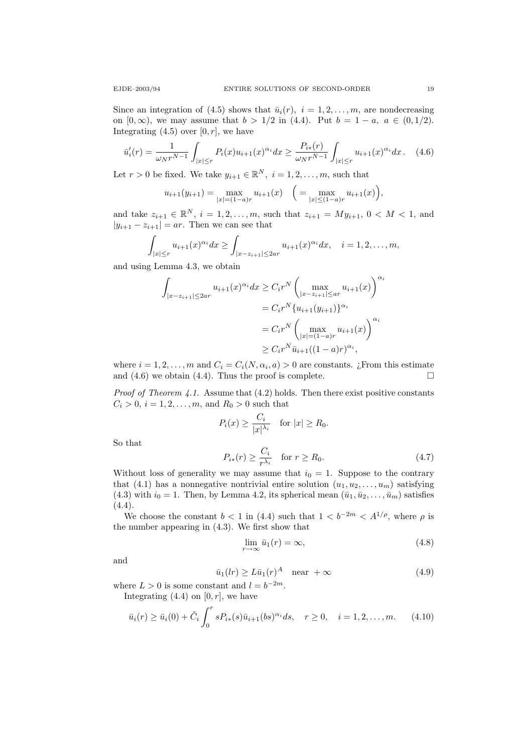Since an integration of (4.5) shows that  $\bar{u}_i(r)$ ,  $i = 1, 2, \ldots, m$ , are nondecreasing on [0, ∞), we may assume that  $b > 1/2$  in (4.4). Put  $b = 1 - a$ ,  $a \in (0, 1/2)$ . Integrating  $(4.5)$  over  $[0, r]$ , we have

$$
\bar{u}'_i(r) = \frac{1}{\omega_N r^{N-1}} \int_{|x| \le r} P_i(x) u_{i+1}(x)^{\alpha_i} dx \ge \frac{P_{i*}(r)}{\omega_N r^{N-1}} \int_{|x| \le r} u_{i+1}(x)^{\alpha_i} dx. \tag{4.6}
$$

Let  $r > 0$  be fixed. We take  $y_{i+1} \in \mathbb{R}^N$ ,  $i = 1, 2, ..., m$ , such that

$$
u_{i+1}(y_{i+1}) = \max_{|x|= (1-a)r} u_{i+1}(x) \quad \Big( = \max_{|x| \le (1-a)r} u_{i+1}(x) \Big),
$$

and take  $z_{i+1} \in \mathbb{R}^N$ ,  $i = 1, 2, ..., m$ , such that  $z_{i+1} = My_{i+1}$ ,  $0 < M < 1$ , and  $|y_{i+1} - z_{i+1}| = ar$ . Then we can see that

$$
\int_{|x|\leq r} u_{i+1}(x)^{\alpha_i} dx \geq \int_{|x-z_{i+1}|\leq 2ar} u_{i+1}(x)^{\alpha_i} dx, \quad i=1,2,\ldots,m,
$$

and using Lemma 4.3, we obtain

$$
\int_{|x-z_{i+1}| \le 2ar} u_{i+1}(x)^{\alpha_i} dx \ge C_i r^N \left( \max_{|x-z_{i+1}| \le ar} u_{i+1}(x) \right)^{\alpha_i}
$$
  
\n
$$
= C_i r^N \{ u_{i+1}(y_{i+1}) \}^{\alpha_i}
$$
  
\n
$$
= C_i r^N \left( \max_{|x|=|(1-a)r} u_{i+1}(x) \right)^{\alpha_i}
$$
  
\n
$$
\ge C_i r^N \bar{u}_{i+1}((1-a)r)^{\alpha_i},
$$

where  $i = 1, 2, ..., m$  and  $C_i = C_i(N, \alpha_i, a) > 0$  are constants. ¿From this estimate and  $(4.6)$  we obtain  $(4.4)$ . Thus the proof is complete.

*Proof of Theorem 4.1.* Assume that  $(4.2)$  holds. Then there exist positive constants  $C_i > 0, i = 1, 2, ..., m$ , and  $R_0 > 0$  such that

$$
P_i(x) \ge \frac{C_i}{|x|^{\lambda_i}} \quad \text{for } |x| \ge R_0.
$$

So that

$$
P_{i*}(r) \ge \frac{C_i}{r^{\lambda_i}} \quad \text{for } r \ge R_0. \tag{4.7}
$$

Without loss of generality we may assume that  $i_0 = 1$ . Suppose to the contrary that (4.1) has a nonnegative nontrivial entire solution  $(u_1, u_2, \ldots, u_m)$  satisfying (4.3) with  $i_0 = 1$ . Then, by Lemma 4.2, its spherical mean  $(\bar{u}_1, \bar{u}_2, \dots, \bar{u}_m)$  satisfies  $(4.4).$ 

We choose the constant  $b < 1$  in (4.4) such that  $1 < b^{-2m} < A^{1/\rho}$ , where  $\rho$  is the number appearing in (4.3). We first show that

$$
\lim_{r \to \infty} \bar{u}_1(r) = \infty,\tag{4.8}
$$

and

$$
\bar{u}_1(lr) \ge L\bar{u}_1(r)^A \quad \text{near } +\infty \tag{4.9}
$$

where  $L > 0$  is some constant and  $l = b^{-2m}$ . Integrating  $(4.4)$  on  $[0, r]$ , we have

$$
\bar{u}_i(r) \ge \bar{u}_i(0) + \tilde{C}_i \int_0^r s P_{i*}(s) \bar{u}_{i+1}(bs)^{\alpha_i} ds, \quad r \ge 0, \quad i = 1, 2, \dots, m. \tag{4.10}
$$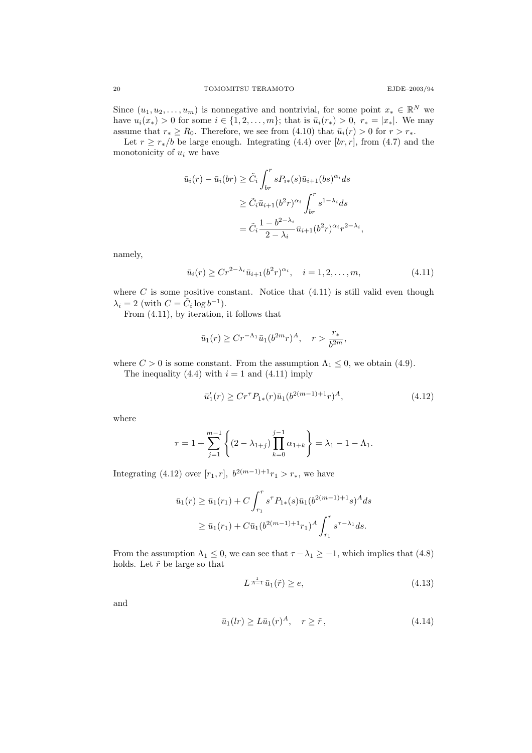Since  $(u_1, u_2, \ldots, u_m)$  is nonnegative and nontrivial, for some point  $x_* \in \mathbb{R}^N$  we have  $u_i(x_*) > 0$  for some  $i \in \{1, 2, ..., m\}$ ; that is  $\bar{u}_i(r_*) > 0$ ,  $r_* = |x_*|$ . We may assume that  $r_* \ge R_0$ . Therefore, we see from (4.10) that  $\bar{u}_i(r) > 0$  for  $r > r_*$ .

Let  $r \geq r_*/b$  be large enough. Integrating (4.4) over [br, r], from (4.7) and the monotonicity of  $u_i$  we have

$$
\bar{u}_i(r) - \bar{u}_i(br) \ge \tilde{C}_i \int_{br}^r s P_{i*}(s) \bar{u}_{i+1}(bs)^{\alpha_i} ds
$$
  
\n
$$
\ge \tilde{C}_i \bar{u}_{i+1}(b^2 r)^{\alpha_i} \int_{br}^r s^{1-\lambda_i} ds
$$
  
\n
$$
= \tilde{C}_i \frac{1 - b^{2-\lambda_i}}{2 - \lambda_i} \bar{u}_{i+1}(b^2 r)^{\alpha_i} r^{2-\lambda_i},
$$

namely,

$$
\bar{u}_i(r) \ge Cr^{2-\lambda_i}\bar{u}_{i+1}(b^2r)^{\alpha_i}, \quad i = 1, 2, \dots, m,
$$
\n(4.11)

where  $C$  is some positive constant. Notice that  $(4.11)$  is still valid even though  $\lambda_i = 2 \text{ (with } C = \tilde{C}_i \log b^{-1}).$ 

From (4.11), by iteration, it follows that

$$
\bar{u}_1(r) \ge Cr^{-\Lambda_1} \bar{u}_1(b^{2m}r)^A
$$
,  $r > \frac{r_*}{b^{2m}}$ ,

where  $C > 0$  is some constant. From the assumption  $\Lambda_1 \leq 0$ , we obtain (4.9). The inequality (4.4) with  $i = 1$  and (4.11) imply

$$
\bar{u}'_1(r) \ge Cr^{\tau} P_{1*}(r) \bar{u}_1(b^{2(m-1)+1}r)^A,\tag{4.12}
$$

where

$$
\tau = 1 + \sum_{j=1}^{m-1} \left\{ (2 - \lambda_{1+j}) \prod_{k=0}^{j-1} \alpha_{1+k} \right\} = \lambda_1 - 1 - \Lambda_1.
$$

Integrating (4.12) over [ $r_1, r$ ],  $b^{2(m-1)+1}r_1 > r_*$ , we have

$$
\bar{u}_1(r) \ge \bar{u}_1(r_1) + C \int_{r_1}^r s^{\tau} P_{1*}(s) \bar{u}_1(b^{2(m-1)+1} s)^A ds
$$
  
 
$$
\ge \bar{u}_1(r_1) + C \bar{u}_1(b^{2(m-1)+1} r_1)^A \int_{r_1}^r s^{\tau - \lambda_1} ds.
$$

From the assumption  $\Lambda_1 \leq 0$ , we can see that  $\tau - \lambda_1 \geq -1$ , which implies that (4.8) holds. Let  $\tilde{r}$  be large so that

$$
L^{\frac{1}{A-1}}\bar{u}_1(\tilde{r}) \ge e,\tag{4.13}
$$

and

$$
\bar{u}_1(lr) \ge L\bar{u}_1(r)^A, \quad r \ge \tilde{r}, \tag{4.14}
$$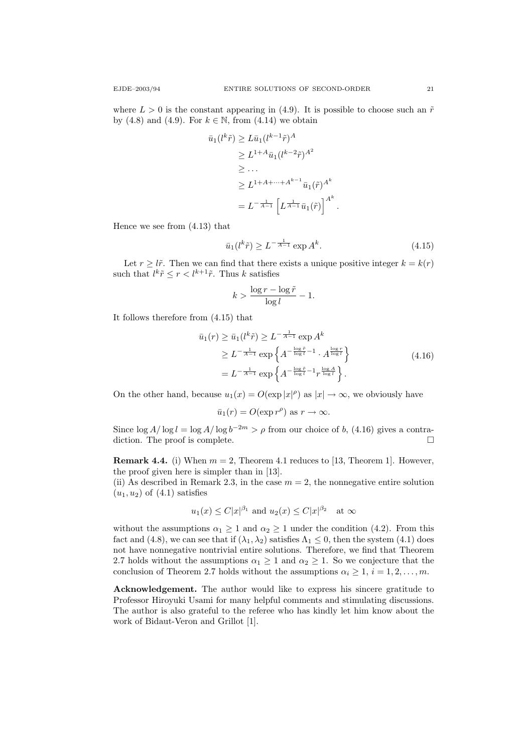where  $L > 0$  is the constant appearing in (4.9). It is possible to choose such an  $\tilde{r}$ by (4.8) and (4.9). For  $k \in \mathbb{N}$ , from (4.14) we obtain

$$
\bar{u}_1(l^k \tilde{r}) \ge L \bar{u}_1(l^{k-1} \tilde{r})^A
$$
\n
$$
\ge L^{1+A} \bar{u}_1(l^{k-2} \tilde{r})^{A^2}
$$
\n
$$
\ge \dots
$$
\n
$$
\ge L^{1+A+\dots+A^{k-1}} \bar{u}_1(\tilde{r})^{A^k}
$$
\n
$$
= L^{-\frac{1}{A-1}} \left[ L^{\frac{1}{A-1}} \bar{u}_1(\tilde{r}) \right]^{A^k}
$$

Hence we see from (4.13) that

$$
\bar{u}_1(l^k \tilde{r}) \ge L^{-\frac{1}{A-1}} \exp A^k. \tag{4.15}
$$

.

Let  $r \geq l\tilde{r}$ . Then we can find that there exists a unique positive integer  $k = k(r)$ such that  $l^k \tilde{r} \leq r < l^{k+1} \tilde{r}$ . Thus k satisfies

$$
k > \frac{\log r - \log \tilde{r}}{\log l} - 1.
$$

It follows therefore from (4.15) that

$$
\bar{u}_1(r) \ge \bar{u}_1(l^k \tilde{r}) \ge L^{-\frac{1}{A-1}} \exp A^k
$$
  
\n
$$
\ge L^{-\frac{1}{A-1}} \exp \left\{ A^{-\frac{\log \tilde{r}}{\log l} - 1} \cdot A^{\frac{\log r}{\log l}} \right\}
$$
  
\n
$$
= L^{-\frac{1}{A-1}} \exp \left\{ A^{-\frac{\log \tilde{r}}{\log l} - 1} r^{\frac{\log A}{\log l}} \right\}.
$$
\n(4.16)

On the other hand, because  $u_1(x) = O(\exp |x|^{\rho})$  as  $|x| \to \infty$ , we obviously have

$$
\bar{u}_1(r) = O(\exp r^{\rho})
$$
 as  $r \to \infty$ .

Since  $\log A / \log l = \log A / \log b^{-2m} > \rho$  from our choice of b, (4.16) gives a contradiction. The proof is complete.

**Remark 4.4.** (i) When  $m = 2$ , Theorem 4.1 reduces to [13, Theorem 1]. However, the proof given here is simpler than in [13].

(ii) As described in Remark 2.3, in the case  $m = 2$ , the nonnegative entire solution  $(u_1, u_2)$  of  $(4.1)$  satisfies

$$
u_1(x) \leq C|x|^{\beta_1}
$$
 and  $u_2(x) \leq C|x|^{\beta_2}$  at  $\infty$ 

without the assumptions  $\alpha_1 \geq 1$  and  $\alpha_2 \geq 1$  under the condition (4.2). From this fact and (4.8), we can see that if  $(\lambda_1, \lambda_2)$  satisfies  $\Lambda_1 \leq 0$ , then the system (4.1) does not have nonnegative nontrivial entire solutions. Therefore, we find that Theorem 2.7 holds without the assumptions  $\alpha_1 \geq 1$  and  $\alpha_2 \geq 1$ . So we conjecture that the conclusion of Theorem 2.7 holds without the assumptions  $\alpha_i \geq 1, i = 1, 2, \ldots, m$ .

Acknowledgement. The author would like to express his sincere gratitude to Professor Hiroyuki Usami for many helpful comments and stimulating discussions. The author is also grateful to the referee who has kindly let him know about the work of Bidaut-Veron and Grillot [1].